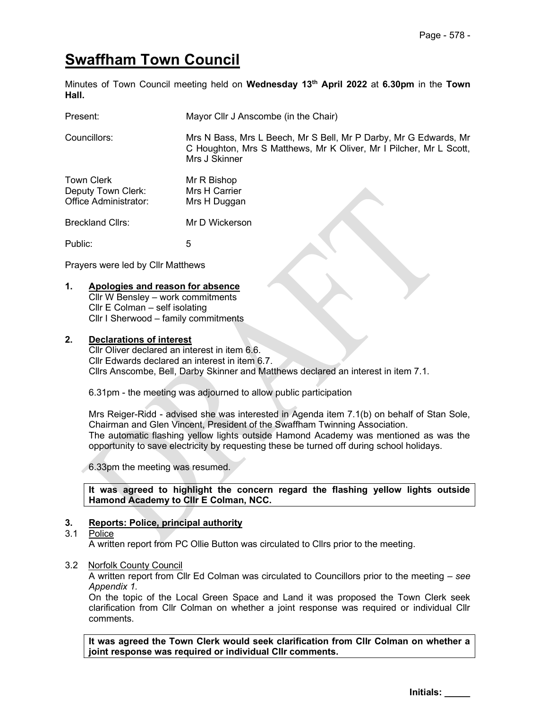# Swaffham Town Council

Minutes of Town Council meeting held on Wednesday 13<sup>th</sup> April 2022 at 6.30pm in the Town Hall.

| Present:                                                  | Mayor Cllr J Anscombe (in the Chair)         |                                                                                                                                        |
|-----------------------------------------------------------|----------------------------------------------|----------------------------------------------------------------------------------------------------------------------------------------|
| Councillors:                                              | Mrs J Skinner                                | Mrs N Bass, Mrs L Beech, Mr S Bell, Mr P Darby, Mr G Edwards, Mr<br>C Houghton, Mrs S Matthews, Mr K Oliver, Mr I Pilcher, Mr L Scott, |
| Town Clerk<br>Deputy Town Clerk:<br>Office Administrator: | Mr R Bishop<br>Mrs H Carrier<br>Mrs H Duggan |                                                                                                                                        |
| <b>Breckland Cllrs:</b>                                   | Mr D Wickerson                               |                                                                                                                                        |
| Public:                                                   | 5                                            |                                                                                                                                        |

Prayers were led by Cllr Matthews

#### 1. Apologies and reason for absence

Cllr W Bensley – work commitments Cllr E Colman – self isolating Cllr I Sherwood – family commitments

#### 2. Declarations of interest

Cllr Oliver declared an interest in item 6.6. Cllr Edwards declared an interest in item 6.7. Cllrs Anscombe, Bell, Darby Skinner and Matthews declared an interest in item 7.1.

6.31pm - the meeting was adjourned to allow public participation

Mrs Reiger-Ridd - advised she was interested in Agenda item 7.1(b) on behalf of Stan Sole, Chairman and Glen Vincent, President of the Swaffham Twinning Association. The automatic flashing yellow lights outside Hamond Academy was mentioned as was the opportunity to save electricity by requesting these be turned off during school holidays.

6.33pm the meeting was resumed.

It was agreed to highlight the concern regard the flashing yellow lights outside Hamond Academy to Cllr E Colman, NCC.

#### 3. Reports: Police, principal authority

## 3.1 Police

A written report from PC Ollie Button was circulated to Cllrs prior to the meeting.

#### 3.2 Norfolk County Council

 A written report from Cllr Ed Colman was circulated to Councillors prior to the meeting – see Appendix 1.

 On the topic of the Local Green Space and Land it was proposed the Town Clerk seek clarification from Cllr Colman on whether a joint response was required or individual Cllr comments.

It was agreed the Town Clerk would seek clarification from Cllr Colman on whether a joint response was required or individual Cllr comments.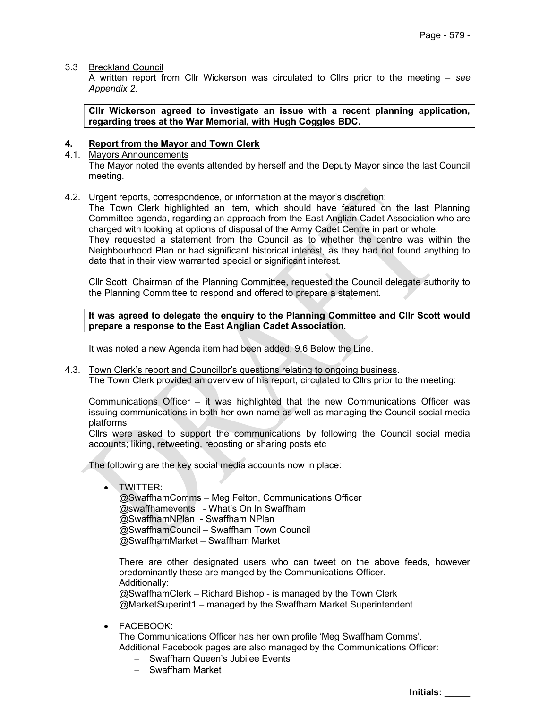#### 3.3 Breckland Council

 A written report from Cllr Wickerson was circulated to Cllrs prior to the meeting – see Appendix 2.

Cllr Wickerson agreed to investigate an issue with a recent planning application, regarding trees at the War Memorial, with Hugh Coggles BDC.

#### 4. Report from the Mayor and Town Clerk

#### 4.1. Mayors Announcements

The Mayor noted the events attended by herself and the Deputy Mayor since the last Council meeting.

#### 4.2. Urgent reports, correspondence, or information at the mayor's discretion:

The Town Clerk highlighted an item, which should have featured on the last Planning Committee agenda, regarding an approach from the East Anglian Cadet Association who are charged with looking at options of disposal of the Army Cadet Centre in part or whole. They requested a statement from the Council as to whether the centre was within the Neighbourhood Plan or had significant historical interest, as they had not found anything to date that in their view warranted special or significant interest.

Cllr Scott, Chairman of the Planning Committee, requested the Council delegate authority to the Planning Committee to respond and offered to prepare a statement.

It was agreed to delegate the enquiry to the Planning Committee and Cllr Scott would prepare a response to the East Anglian Cadet Association.

It was noted a new Agenda item had been added, 9.6 Below the Line.

4.3. Town Clerk's report and Councillor's questions relating to ongoing business.

The Town Clerk provided an overview of his report, circulated to Cllrs prior to the meeting:

Communications Officer – it was highlighted that the new Communications Officer was issuing communications in both her own name as well as managing the Council social media platforms.

Cllrs were asked to support the communications by following the Council social media accounts; liking, retweeting, reposting or sharing posts etc

The following are the key social media accounts now in place:

#### • TWITTER:

@SwaffhamComms – Meg Felton, Communications Officer @swaffhamevents - What's On In Swaffham @SwaffhamNPlan - Swaffham NPlan @SwaffhamCouncil – Swaffham Town Council @SwaffhamMarket – Swaffham Market

There are other designated users who can tweet on the above feeds, however predominantly these are manged by the Communications Officer. Additionally: @SwaffhamClerk – Richard Bishop - is managed by the Town Clerk

@MarketSuperint1 – managed by the Swaffham Market Superintendent.

#### FACEBOOK:

The Communications Officer has her own profile 'Meg Swaffham Comms'. Additional Facebook pages are also managed by the Communications Officer:

- Swaffham Queen's Jubilee Events
- Swaffham Market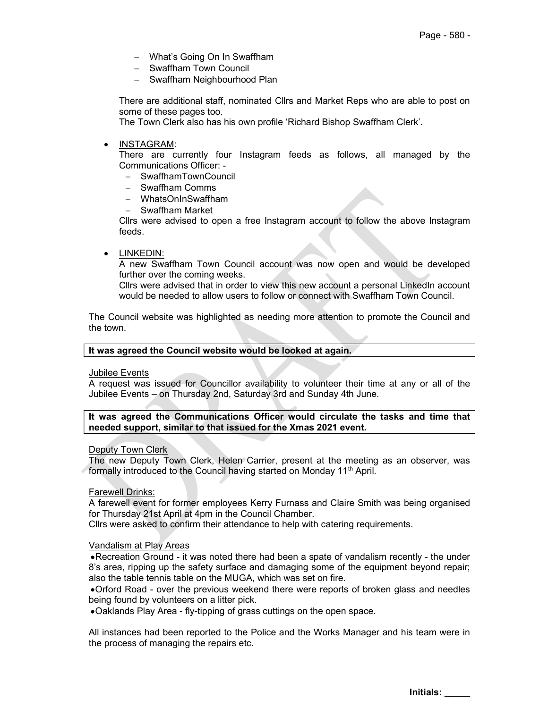- What's Going On In Swaffham
- Swaffham Town Council
- Swaffham Neighbourhood Plan

There are additional staff, nominated Cllrs and Market Reps who are able to post on some of these pages too.

The Town Clerk also has his own profile 'Richard Bishop Swaffham Clerk'.

INSTAGRAM:

There are currently four Instagram feeds as follows, all managed by the Communications Officer: -

- SwaffhamTownCouncil
- Swaffham Comms
- WhatsOnInSwaffham
- Swaffham Market

Cllrs were advised to open a free Instagram account to follow the above Instagram feeds.

LINKEDIN:

A new Swaffham Town Council account was now open and would be developed further over the coming weeks.

Cllrs were advised that in order to view this new account a personal LinkedIn account would be needed to allow users to follow or connect with Swaffham Town Council.

The Council website was highlighted as needing more attention to promote the Council and the town.

#### It was agreed the Council website would be looked at again.

#### Jubilee Events

A request was issued for Councillor availability to volunteer their time at any or all of the Jubilee Events – on Thursday 2nd, Saturday 3rd and Sunday 4th June.

#### It was agreed the Communications Officer would circulate the tasks and time that needed support, similar to that issued for the Xmas 2021 event.

#### Deputy Town Clerk

The new Deputy Town Clerk, Helen Carrier, present at the meeting as an observer, was formally introduced to the Council having started on Monday 11<sup>th</sup> April.

Farewell Drinks:

A farewell event for former employees Kerry Furnass and Claire Smith was being organised for Thursday 21st April at 4pm in the Council Chamber.

Cllrs were asked to confirm their attendance to help with catering requirements.

#### Vandalism at Play Areas

Recreation Ground - it was noted there had been a spate of vandalism recently - the under 8's area, ripping up the safety surface and damaging some of the equipment beyond repair; also the table tennis table on the MUGA, which was set on fire.

Orford Road - over the previous weekend there were reports of broken glass and needles being found by volunteers on a litter pick.

Oaklands Play Area - fly-tipping of grass cuttings on the open space.

All instances had been reported to the Police and the Works Manager and his team were in the process of managing the repairs etc.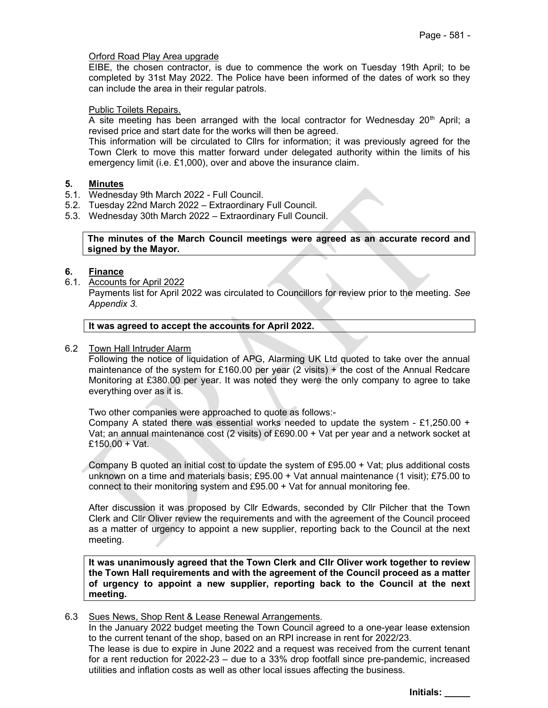#### Orford Road Play Area upgrade

EIBE, the chosen contractor, is due to commence the work on Tuesday 19th April; to be completed by 31st May 2022. The Police have been informed of the dates of work so they can include the area in their regular patrols.

#### Public Toilets Repairs.

A site meeting has been arranged with the local contractor for Wednesday  $20<sup>th</sup>$  April; a revised price and start date for the works will then be agreed.

This information will be circulated to Cllrs for information; it was previously agreed for the Town Clerk to move this matter forward under delegated authority within the limits of his emergency limit (i.e. £1,000), over and above the insurance claim.

#### 5. Minutes

- 5.1. Wednesday 9th March 2022 Full Council.
- 5.2. Tuesday 22nd March 2022 Extraordinary Full Council.
- 5.3. Wednesday 30th March 2022 Extraordinary Full Council.

#### The minutes of the March Council meetings were agreed as an accurate record and signed by the Mayor.

#### 6. Finance

6.1. Accounts for April 2022 Payments list for April 2022 was circulated to Councillors for review prior to the meeting. See Appendix 3.

#### It was agreed to accept the accounts for April 2022.

#### 6.2 Town Hall Intruder Alarm

Following the notice of liquidation of APG, Alarming UK Ltd quoted to take over the annual maintenance of the system for £160.00 per year (2 visits) + the cost of the Annual Redcare Monitoring at £380.00 per year. It was noted they were the only company to agree to take everything over as it is.

Two other companies were approached to quote as follows:-

Company A stated there was essential works needed to update the system - £1,250.00 + Vat; an annual maintenance cost (2 visits) of £690.00 + Vat per year and a network socket at £150.00 + Vat.

Company B quoted an initial cost to update the system of £95.00 + Vat; plus additional costs unknown on a time and materials basis; £95.00 + Vat annual maintenance (1 visit); £75.00 to connect to their monitoring system and £95.00 + Vat for annual monitoring fee.

After discussion it was proposed by Cllr Edwards, seconded by Cllr Pilcher that the Town Clerk and Cllr Oliver review the requirements and with the agreement of the Council proceed as a matter of urgency to appoint a new supplier, reporting back to the Council at the next meeting.

It was unanimously agreed that the Town Clerk and Cllr Oliver work together to review the Town Hall requirements and with the agreement of the Council proceed as a matter of urgency to appoint a new supplier, reporting back to the Council at the next meeting.

#### 6.3 Sues News, Shop Rent & Lease Renewal Arrangements.

In the January 2022 budget meeting the Town Council agreed to a one-year lease extension to the current tenant of the shop, based on an RPI increase in rent for 2022/23.

The lease is due to expire in June 2022 and a request was received from the current tenant for a rent reduction for 2022-23 – due to a 33% drop footfall since pre-pandemic, increased utilities and inflation costs as well as other local issues affecting the business.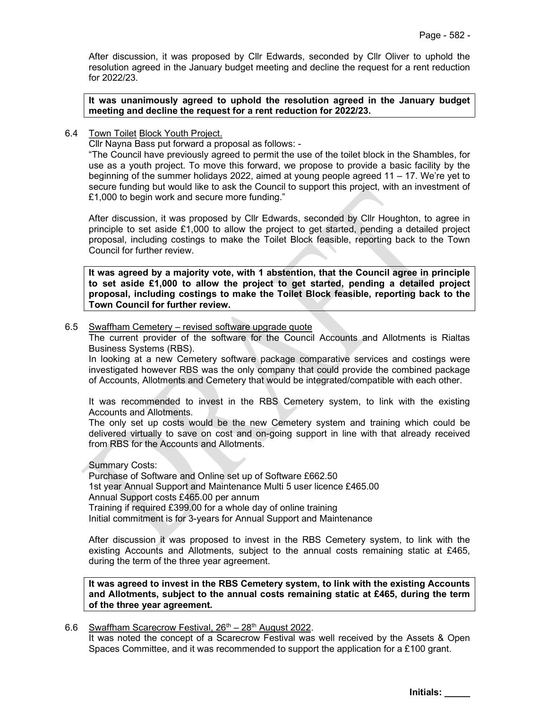After discussion, it was proposed by Cllr Edwards, seconded by Cllr Oliver to uphold the resolution agreed in the January budget meeting and decline the request for a rent reduction for 2022/23.

It was unanimously agreed to uphold the resolution agreed in the January budget meeting and decline the request for a rent reduction for 2022/23.

#### 6.4 Town Toilet Block Youth Project.

Cllr Nayna Bass put forward a proposal as follows: -

"The Council have previously agreed to permit the use of the toilet block in the Shambles, for use as a youth project. To move this forward, we propose to provide a basic facility by the beginning of the summer holidays 2022, aimed at young people agreed 11 – 17. We're yet to secure funding but would like to ask the Council to support this project, with an investment of £1,000 to begin work and secure more funding."

After discussion, it was proposed by Cllr Edwards, seconded by Cllr Houghton, to agree in principle to set aside £1,000 to allow the project to get started, pending a detailed project proposal, including costings to make the Toilet Block feasible, reporting back to the Town Council for further review.

It was agreed by a majority vote, with 1 abstention, that the Council agree in principle to set aside £1,000 to allow the project to get started, pending a detailed project proposal, including costings to make the Toilet Block feasible, reporting back to the Town Council for further review.

#### 6.5 Swaffham Cemetery – revised software upgrade quote

The current provider of the software for the Council Accounts and Allotments is Rialtas Business Systems (RBS).

In looking at a new Cemetery software package comparative services and costings were investigated however RBS was the only company that could provide the combined package of Accounts, Allotments and Cemetery that would be integrated/compatible with each other.

It was recommended to invest in the RBS Cemetery system, to link with the existing Accounts and Allotments.

The only set up costs would be the new Cemetery system and training which could be delivered virtually to save on cost and on-going support in line with that already received from RBS for the Accounts and Allotments.

#### Summary Costs:

Purchase of Software and Online set up of Software £662.50 1st year Annual Support and Maintenance Multi 5 user licence £465.00 Annual Support costs £465.00 per annum Training if required £399.00 for a whole day of online training Initial commitment is for 3-years for Annual Support and Maintenance

After discussion it was proposed to invest in the RBS Cemetery system, to link with the existing Accounts and Allotments, subject to the annual costs remaining static at £465, during the term of the three year agreement.

It was agreed to invest in the RBS Cemetery system, to link with the existing Accounts and Allotments, subject to the annual costs remaining static at £465, during the term of the three year agreement.

#### 6.6 Swaffham Scarecrow Festival,  $26<sup>th</sup> - 28<sup>th</sup>$  August 2022.

It was noted the concept of a Scarecrow Festival was well received by the Assets & Open Spaces Committee, and it was recommended to support the application for a £100 grant.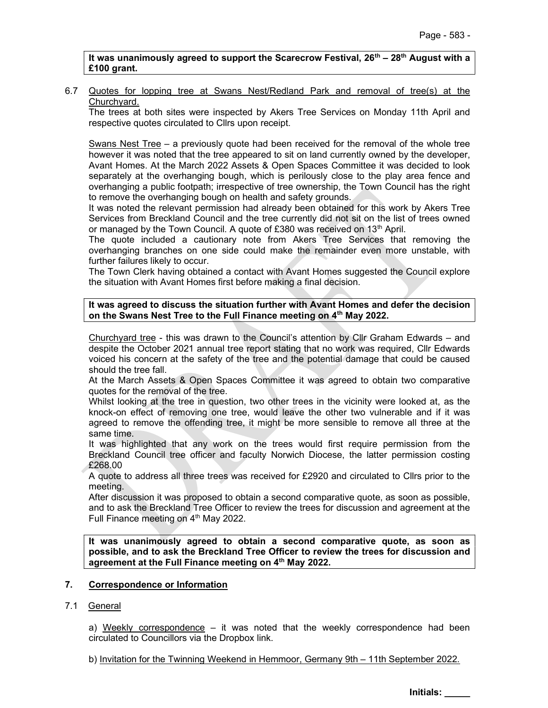It was unanimously agreed to support the Scarecrow Festival,  $26<sup>th</sup> - 28<sup>th</sup>$  August with a £100 grant.

#### 6.7 Quotes for lopping tree at Swans Nest/Redland Park and removal of tree(s) at the Churchyard.

The trees at both sites were inspected by Akers Tree Services on Monday 11th April and respective quotes circulated to Cllrs upon receipt.

Swans Nest Tree – a previously quote had been received for the removal of the whole tree however it was noted that the tree appeared to sit on land currently owned by the developer, Avant Homes. At the March 2022 Assets & Open Spaces Committee it was decided to look separately at the overhanging bough, which is perilously close to the play area fence and overhanging a public footpath; irrespective of tree ownership, the Town Council has the right to remove the overhanging bough on health and safety grounds.

It was noted the relevant permission had already been obtained for this work by Akers Tree Services from Breckland Council and the tree currently did not sit on the list of trees owned or managed by the Town Council. A quote of £380 was received on  $13<sup>th</sup>$  April.

The quote included a cautionary note from Akers Tree Services that removing the overhanging branches on one side could make the remainder even more unstable, with further failures likely to occur.

The Town Clerk having obtained a contact with Avant Homes suggested the Council explore the situation with Avant Homes first before making a final decision.

#### It was agreed to discuss the situation further with Avant Homes and defer the decision on the Swans Nest Tree to the Full Finance meeting on 4<sup>th</sup> May 2022.

Churchyard tree - this was drawn to the Council's attention by Cllr Graham Edwards – and despite the October 2021 annual tree report stating that no work was required, Cllr Edwards voiced his concern at the safety of the tree and the potential damage that could be caused should the tree fall.

At the March Assets & Open Spaces Committee it was agreed to obtain two comparative quotes for the removal of the tree.

Whilst looking at the tree in question, two other trees in the vicinity were looked at, as the knock-on effect of removing one tree, would leave the other two vulnerable and if it was agreed to remove the offending tree, it might be more sensible to remove all three at the same time.

It was highlighted that any work on the trees would first require permission from the Breckland Council tree officer and faculty Norwich Diocese, the latter permission costing £268.00

A quote to address all three trees was received for £2920 and circulated to Cllrs prior to the meeting.

After discussion it was proposed to obtain a second comparative quote, as soon as possible, and to ask the Breckland Tree Officer to review the trees for discussion and agreement at the Full Finance meeting on 4<sup>th</sup> May 2022.

It was unanimously agreed to obtain a second comparative quote, as soon as possible, and to ask the Breckland Tree Officer to review the trees for discussion and agreement at the Full Finance meeting on 4<sup>th</sup> May 2022.

#### 7. Correspondence or Information

#### 7.1 General

a) Weekly correspondence  $-$  it was noted that the weekly correspondence had been circulated to Councillors via the Dropbox link.

b) Invitation for the Twinning Weekend in Hemmoor, Germany 9th – 11th September 2022.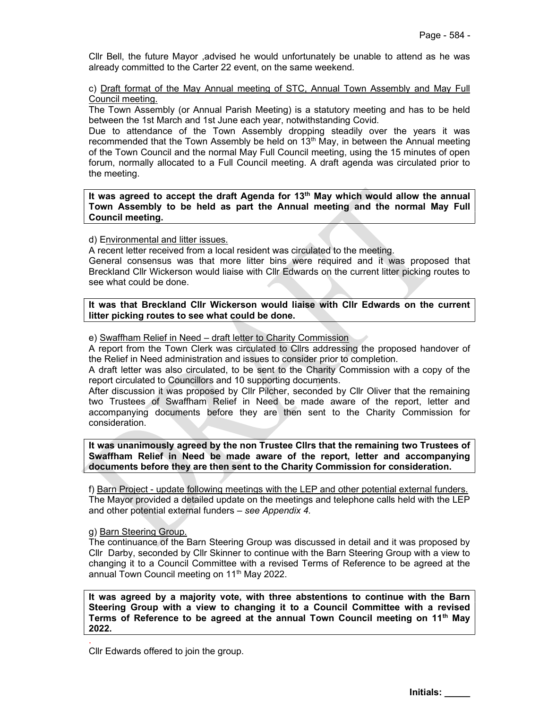Cllr Bell, the future Mayor ,advised he would unfortunately be unable to attend as he was already committed to the Carter 22 event, on the same weekend.

#### c) Draft format of the May Annual meeting of STC, Annual Town Assembly and May Full Council meeting.

The Town Assembly (or Annual Parish Meeting) is a statutory meeting and has to be held between the 1st March and 1st June each year, notwithstanding Covid.

Due to attendance of the Town Assembly dropping steadily over the years it was recommended that the Town Assembly be held on  $13<sup>th</sup>$  May, in between the Annual meeting of the Town Council and the normal May Full Council meeting, using the 15 minutes of open forum, normally allocated to a Full Council meeting. A draft agenda was circulated prior to the meeting.

It was agreed to accept the draft Agenda for  $13<sup>th</sup>$  May which would allow the annual Town Assembly to be held as part the Annual meeting and the normal May Full Council meeting.

d) Environmental and litter issues.

A recent letter received from a local resident was circulated to the meeting.

General consensus was that more litter bins were required and it was proposed that Breckland Cllr Wickerson would liaise with Cllr Edwards on the current litter picking routes to see what could be done.

It was that Breckland Cllr Wickerson would liaise with Cllr Edwards on the current litter picking routes to see what could be done.

e) Swaffham Relief in Need – draft letter to Charity Commission

A report from the Town Clerk was circulated to Cllrs addressing the proposed handover of the Relief in Need administration and issues to consider prior to completion.

A draft letter was also circulated, to be sent to the Charity Commission with a copy of the report circulated to Councillors and 10 supporting documents.

After discussion it was proposed by Cllr Pilcher, seconded by Cllr Oliver that the remaining two Trustees of Swaffham Relief in Need be made aware of the report, letter and accompanying documents before they are then sent to the Charity Commission for consideration.

It was unanimously agreed by the non Trustee Cllrs that the remaining two Trustees of Swaffham Relief in Need be made aware of the report, letter and accompanying documents before they are then sent to the Charity Commission for consideration.

f) Barn Project - update following meetings with the LEP and other potential external funders. The Mayor provided a detailed update on the meetings and telephone calls held with the LEP and other potential external funders – see Appendix 4.

#### g) Barn Steering Group.

.

The continuance of the Barn Steering Group was discussed in detail and it was proposed by Cllr Darby, seconded by Cllr Skinner to continue with the Barn Steering Group with a view to changing it to a Council Committee with a revised Terms of Reference to be agreed at the annual Town Council meeting on 11<sup>th</sup> May 2022.

It was agreed by a majority vote, with three abstentions to continue with the Barn Steering Group with a view to changing it to a Council Committee with a revised Terms of Reference to be agreed at the annual Town Council meeting on 11<sup>th</sup> May 2022.

Cllr Edwards offered to join the group.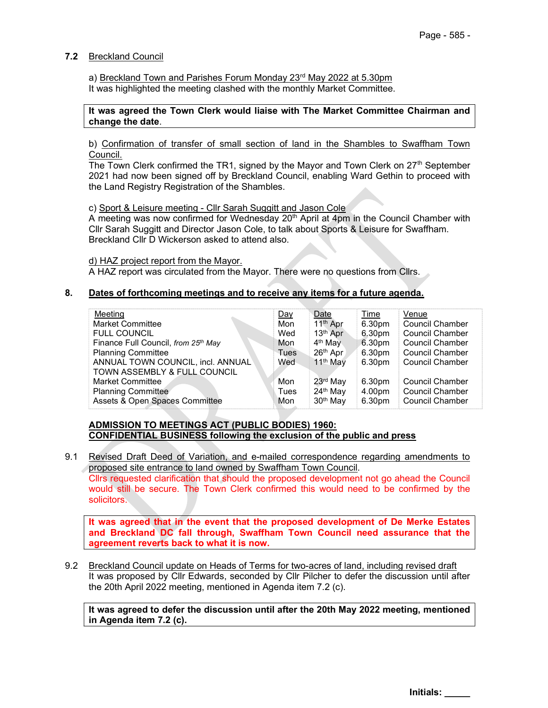#### 7.2 Breckland Council

a) Breckland Town and Parishes Forum Monday 23<sup>rd</sup> May 2022 at 5.30pm It was highlighted the meeting clashed with the monthly Market Committee.

#### It was agreed the Town Clerk would liaise with The Market Committee Chairman and change the date.

b) Confirmation of transfer of small section of land in the Shambles to Swaffham Town Council.

The Town Clerk confirmed the TR1, signed by the Mayor and Town Clerk on  $27<sup>th</sup>$  September 2021 had now been signed off by Breckland Council, enabling Ward Gethin to proceed with the Land Registry Registration of the Shambles.

c) Sport & Leisure meeting - Cllr Sarah Suggitt and Jason Cole

A meeting was now confirmed for Wednesday  $20<sup>th</sup>$  April at 4pm in the Council Chamber with Cllr Sarah Suggitt and Director Jason Cole, to talk about Sports & Leisure for Swaffham. Breckland Cllr D Wickerson asked to attend also.

d) HAZ project report from the Mayor.

A HAZ report was circulated from the Mayor. There were no questions from Cllrs.

#### 8. Dates of forthcoming meetings and to receive any items for a future agenda.

| Meetina                             | <u>Day</u> | Date                 | Time   | Venue                  |
|-------------------------------------|------------|----------------------|--------|------------------------|
| <b>Market Committee</b>             | Mon        | 11 <sup>th</sup> Apr | 6.30pm | <b>Council Chamber</b> |
| <b>FULL COUNCIL</b>                 | Wed        | 13 <sup>th</sup> Apr | 6.30pm | <b>Council Chamber</b> |
| Finance Full Council, from 25th May | Mon        | 4 <sup>th</sup> May  | 6.30pm | <b>Council Chamber</b> |
| <b>Planning Committee</b>           | Tues       | 26 <sup>th</sup> Apr | 6.30pm | <b>Council Chamber</b> |
| ANNUAL TOWN COUNCIL, incl. ANNUAL   | Wed        | 11 <sup>th</sup> May | 6.30pm | <b>Council Chamber</b> |
| TOWN ASSEMBLY & FULL COUNCIL        |            |                      |        |                        |
| <b>Market Committee</b>             | Mon        | 23rd May             | 6.30pm | <b>Council Chamber</b> |
| <b>Planning Committee</b>           | Tues       | 24 <sup>th</sup> May | 4.00pm | <b>Council Chamber</b> |
| Assets & Open Spaces Committee      | Mon        | 30 <sup>th</sup> May | 6.30pm | <b>Council Chamber</b> |

#### ADMISSION TO MEETINGS ACT (PUBLIC BODIES) 1960: CONFIDENTIAL BUSINESS following the exclusion of the public and press

9.1 Revised Draft Deed of Variation, and e-mailed correspondence regarding amendments to proposed site entrance to land owned by Swaffham Town Council.

Cllrs requested clarification that should the proposed development not go ahead the Council would still be secure. The Town Clerk confirmed this would need to be confirmed by the solicitors.

It was agreed that in the event that the proposed development of De Merke Estates and Breckland DC fall through, Swaffham Town Council need assurance that the agreement reverts back to what it is now.

9.2 Breckland Council update on Heads of Terms for two-acres of land, including revised draft It was proposed by Cllr Edwards, seconded by Cllr Pilcher to defer the discussion until after the 20th April 2022 meeting, mentioned in Agenda item 7.2 (c).

It was agreed to defer the discussion until after the 20th May 2022 meeting, mentioned in Agenda item 7.2 (c).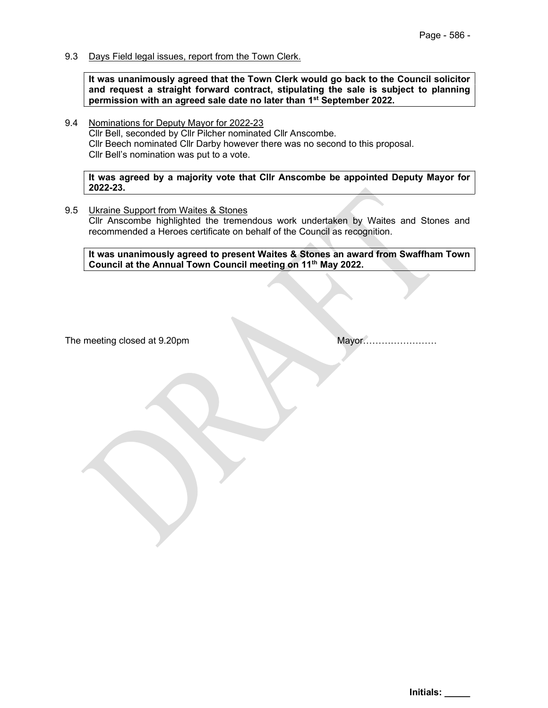9.3 Days Field legal issues, report from the Town Clerk.

It was unanimously agreed that the Town Clerk would go back to the Council solicitor and request a straight forward contract, stipulating the sale is subject to planning permission with an agreed sale date no later than 1<sup>st</sup> September 2022.

9.4 Nominations for Deputy Mayor for 2022-23 Cllr Bell, seconded by Cllr Pilcher nominated Cllr Anscombe. Cllr Beech nominated Cllr Darby however there was no second to this proposal. Cllr Bell's nomination was put to a vote.

It was agreed by a majority vote that Cllr Anscombe be appointed Deputy Mayor for 2022-23.

9.5 Ukraine Support from Waites & Stones Cllr Anscombe highlighted the tremendous work undertaken by Waites and Stones and recommended a Heroes certificate on behalf of the Council as recognition.

It was unanimously agreed to present Waites & Stones an award from Swaffham Town Council at the Annual Town Council meeting on 11th May 2022.

The meeting closed at 9.20pm Mayor……………………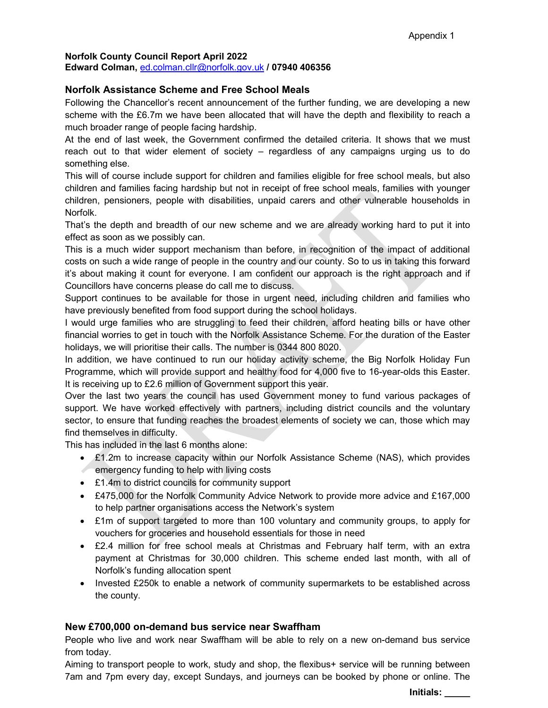#### Norfolk County Council Report April 2022

Edward Colman, ed.colman.cllr@norfolk.gov.uk / 07940 406356

#### Norfolk Assistance Scheme and Free School Meals

Following the Chancellor's recent announcement of the further funding, we are developing a new scheme with the £6.7m we have been allocated that will have the depth and flexibility to reach a much broader range of people facing hardship.

At the end of last week, the Government confirmed the detailed criteria. It shows that we must reach out to that wider element of society – regardless of any campaigns urging us to do something else.

This will of course include support for children and families eligible for free school meals, but also children and families facing hardship but not in receipt of free school meals, families with younger children, pensioners, people with disabilities, unpaid carers and other vulnerable households in Norfolk.

That's the depth and breadth of our new scheme and we are already working hard to put it into effect as soon as we possibly can.

This is a much wider support mechanism than before, in recognition of the impact of additional costs on such a wide range of people in the country and our county. So to us in taking this forward it's about making it count for everyone. I am confident our approach is the right approach and if Councillors have concerns please do call me to discuss.

Support continues to be available for those in urgent need, including children and families who have previously benefited from food support during the school holidays.

I would urge families who are struggling to feed their children, afford heating bills or have other financial worries to get in touch with the Norfolk Assistance Scheme. For the duration of the Easter holidays, we will prioritise their calls. The number is 0344 800 8020.

In addition, we have continued to run our holiday activity scheme, the Big Norfolk Holiday Fun Programme, which will provide support and healthy food for 4,000 five to 16-year-olds this Easter. It is receiving up to £2.6 million of Government support this year.

Over the last two years the council has used Government money to fund various packages of support. We have worked effectively with partners, including district councils and the voluntary sector, to ensure that funding reaches the broadest elements of society we can, those which may find themselves in difficulty.

This has included in the last 6 months alone:

- $\bullet$  £1.2m to increase capacity within our Norfolk Assistance Scheme (NAS), which provides emergency funding to help with living costs
- £1.4m to district councils for community support
- £475,000 for the Norfolk Community Advice Network to provide more advice and £167,000 to help partner organisations access the Network's system
- £1m of support targeted to more than 100 voluntary and community groups, to apply for vouchers for groceries and household essentials for those in need
- £2.4 million for free school meals at Christmas and February half term, with an extra payment at Christmas for 30,000 children. This scheme ended last month, with all of Norfolk's funding allocation spent
- Invested £250k to enable a network of community supermarkets to be established across the county.

### New £700,000 on-demand bus service near Swaffham

People who live and work near Swaffham will be able to rely on a new on-demand bus service from today.

Aiming to transport people to work, study and shop, the flexibus+ service will be running between 7am and 7pm every day, except Sundays, and journeys can be booked by phone or online. The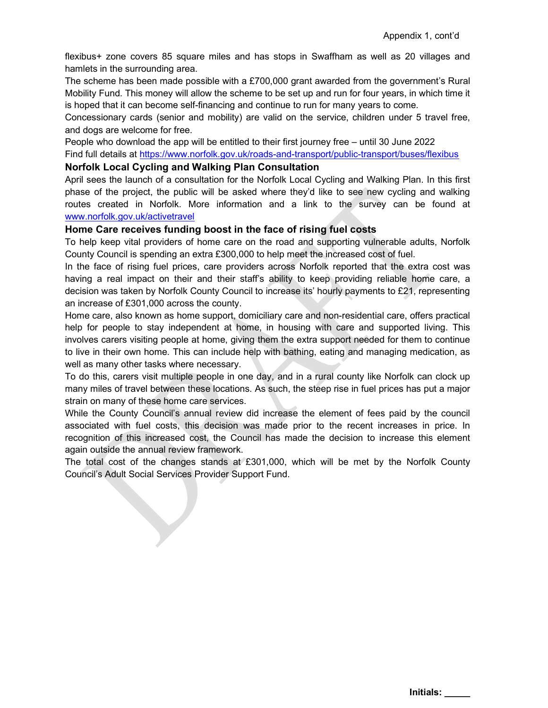flexibus+ zone covers 85 square miles and has stops in Swaffham as well as 20 villages and hamlets in the surrounding area.

The scheme has been made possible with a £700,000 grant awarded from the government's Rural Mobility Fund. This money will allow the scheme to be set up and run for four years, in which time it is hoped that it can become self-financing and continue to run for many years to come.

Concessionary cards (senior and mobility) are valid on the service, children under 5 travel free, and dogs are welcome for free.

People who download the app will be entitled to their first journey free – until 30 June 2022

Find full details at https://www.norfolk.gov.uk/roads-and-transport/public-transport/buses/flexibus

#### Norfolk Local Cycling and Walking Plan Consultation

April sees the launch of a consultation for the Norfolk Local Cycling and Walking Plan. In this first phase of the project, the public will be asked where they'd like to see new cycling and walking routes created in Norfolk. More information and a link to the survey can be found at www.norfolk.gov.uk/activetravel

#### Home Care receives funding boost in the face of rising fuel costs

To help keep vital providers of home care on the road and supporting vulnerable adults, Norfolk County Council is spending an extra £300,000 to help meet the increased cost of fuel.

In the face of rising fuel prices, care providers across Norfolk reported that the extra cost was having a real impact on their and their staff's ability to keep providing reliable home care, a decision was taken by Norfolk County Council to increase its' hourly payments to £21, representing an increase of £301,000 across the county.

Home care, also known as home support, domiciliary care and non-residential care, offers practical help for people to stay independent at home, in housing with care and supported living. This involves carers visiting people at home, giving them the extra support needed for them to continue to live in their own home. This can include help with bathing, eating and managing medication, as well as many other tasks where necessary.

To do this, carers visit multiple people in one day, and in a rural county like Norfolk can clock up many miles of travel between these locations. As such, the steep rise in fuel prices has put a major strain on many of these home care services.

While the County Council's annual review did increase the element of fees paid by the council associated with fuel costs, this decision was made prior to the recent increases in price. In recognition of this increased cost, the Council has made the decision to increase this element again outside the annual review framework.

The total cost of the changes stands at £301,000, which will be met by the Norfolk County Council's Adult Social Services Provider Support Fund.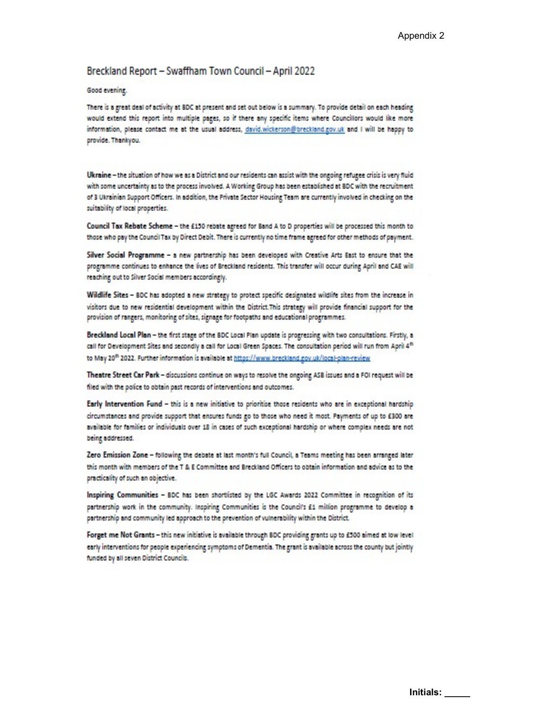#### Breckland Report - Swaffham Town Council - April 2022

#### Good evening.

There is a great deal of activity at BDC at present and set out below is a summary. To provide detail on each heading would extend this report into multiple pages, so if there any specific items where Councillors would like more information, please contact me at the usual address, david.wickerson@breckland.gov.uk and I will be happy to provide. Thankyou.

Ukraine - the situation of how we as a District and our residents can assist with the ongoing refugee crisis is very fluid with some uncertainty as to the process involved. A Working Group has been established at BDC with the recruitment of 3 Ukrainian Support Officers. In addition, the Private Sector Housing Team are currently involved in checking on the suitability of local properties.

Council Tax Rebate Scheme - the £150 rebate agreed for Band A to D properties will be processed this month to those who pay the Council Tax by Direct Debit. There is currently no time frame agreed for other methods of payment.

Silver Social Programme - a new partnership has been developed with Creative Arts East to ensure that the programme continues to enhance the lives of Breckland residents. This transfer will occur during April and CAE will reaching out to Silver Social members accordingly.

Wildlife Sites - BDC has adopted a new strategy to protect specific designated wildlife sites from the increase in visitors due to new residential development within the District. This strategy will provide financial support for the provision of rangers, monitoring of sites, signage for footpaths and educational programmes.

Breckland Local Plan - the first stage of the BDC Local Plan update is progressing with two consultations. Firstly, a call for Development Sites and secondly a call for Local Green Spaces. The consultation period will run from April 4<sup>th</sup> to May 20<sup>th</sup> 2022. Further information is available at https://www.breckland.gov.uk/local-plan-review

Theatre Street Car Park - discussions continue on ways to resolve the ongoing ASB issues and a FOI request will be filed with the police to obtain past records of interventions and outcomes.

Early Intervention Fund - this is a new initiative to prioritise those residents who are in exceptional hardship circumstances and provide support that ensures funds go to those who need it most. Payments of up to £300 are available for families or individuals over 18 in cases of such exceptional hardship or where complex needs are not being addressed.

Zero Emission Zone - following the debate at last month's full Council, a Teams meeting has been arranged later this month with members of the T & E Committee and Breckland Officers to obtain information and advice as to the practicality of such an objective.

Inspiring Communities - BDC has been shortlisted by the LGC Awards 2022 Committee in recognition of its partnership work in the community. Inspiring Communities is the Council's £1 million programme to develop a partnership and community led approach to the prevention of vulnerability within the District.

Forget me Not Grants - this new initiative is available through BDC providing grants up to £500 aimed at low level early interventions for people experiencing symptoms of Dementia. The grant is available across the county but jointly funded by all seven District Councils.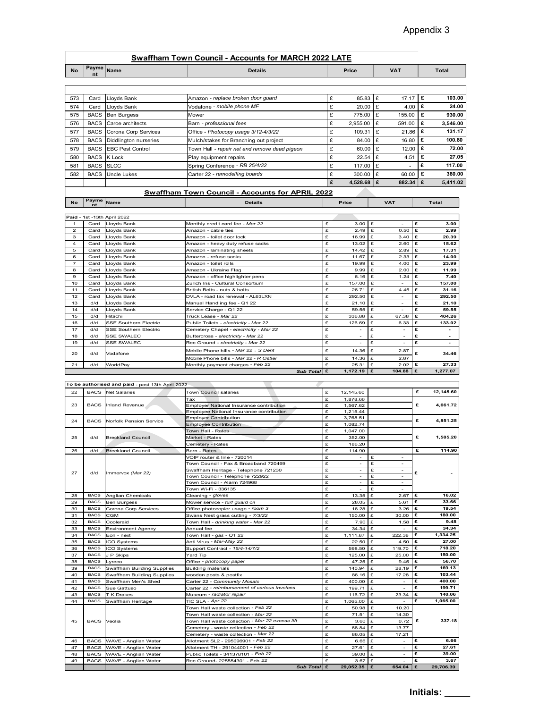## Swaffham Town Council - Accounts for MARCH 2022 LATE

|                     |                            |                                                  |                                                                                         |         |                        |                          | Appendix 3                    |
|---------------------|----------------------------|--------------------------------------------------|-----------------------------------------------------------------------------------------|---------|------------------------|--------------------------|-------------------------------|
|                     |                            |                                                  |                                                                                         |         |                        |                          |                               |
|                     |                            |                                                  |                                                                                         |         |                        |                          |                               |
|                     |                            |                                                  | <b>Swaffham Town Council - Accounts for MARCH 2022 LATE</b>                             |         |                        |                          |                               |
| <b>No</b>           | Payme<br>nt                | Name                                             | <b>Details</b>                                                                          |         | Price                  | <b>VAT</b>               | Total                         |
|                     |                            |                                                  |                                                                                         |         |                        |                          |                               |
|                     |                            |                                                  |                                                                                         |         |                        |                          |                               |
| 573                 | Card                       | Lloyds Bank                                      | Amazon - replace broken door guard                                                      | £       | $85.83$ £              | 17.17 $E$                | 103.00                        |
| 574                 | Card                       | Lloyds Bank                                      | Vodafone - mobile phone MF                                                              | £       | 20.00<br>Ι£            | 4.00                     | 24.00<br>£                    |
| 575                 | <b>BACS</b>                | Ben Burgess                                      | Mower                                                                                   | £       | 775.00<br>Ι£           | 155.00                   | 930.00<br>۱£                  |
| 576                 | <b>BACS</b>                | Caroe architects                                 | Barn - professional fees                                                                | £       | 2,955.00<br>Ι£         | 591.00                   | £<br>3,546.00<br>Ι£<br>131.17 |
| 577                 | <b>BACS</b><br><b>BACS</b> | Corona Corp Services                             | Office - Photocopy usage 3/12-4/3/22                                                    | £<br>£  | 109.31<br>£<br>١£      | 21.86<br>16.80           | 100.80<br>£                   |
| 578<br>579          | <b>BACS</b>                | Diddlington nurseries<br><b>EBC Pest Control</b> | Mulch/stakes for Branching out project<br>Town Hall - repair net and remove dead pigeon | £       | 84.00<br>60.00<br>£    | 12.00                    | 72.00<br>£                    |
| 580                 | <b>BACS</b>                | K Lock                                           | Play equipment repairs                                                                  | £       | 22.54<br>Ι£            | 4.51                     | £<br>27.05                    |
| 581                 | <b>BACS</b>                | <b>SLCC</b>                                      | Spring Conference - RB 25/4/22                                                          | £       | 117.00<br>Ι£           | $\overline{\phantom{a}}$ | £<br>117.00                   |
| 582                 | <b>BACS</b>                | <b>Uncle Lukes</b>                               | Carter 22 - remodelling boards                                                          | £       | 300.00<br>Ι£           | 60.00                    | 360.00<br>£                   |
|                     |                            |                                                  |                                                                                         | £       | 4,528.68<br>Ι£         | 882.34                   | 5,411.02<br>£                 |
|                     |                            |                                                  |                                                                                         |         |                        |                          |                               |
|                     |                            |                                                  | Swaffham Town Council - Accounts for APRIL 2022                                         |         |                        |                          |                               |
| No                  |                            |                                                  | <b>Details</b>                                                                          |         | Price                  | <b>VAT</b>               | Total                         |
|                     |                            | Payme Name                                       |                                                                                         |         |                        |                          |                               |
|                     |                            | Paid - 1st -13th April 2022                      |                                                                                         |         |                        |                          |                               |
| $\mathbf{1}$        | Card<br>Card               | Lloyds Bank                                      | Monthly credit card fee - Mar 22<br>Amazon - cable ties                                 | £<br>£  | $3.00$ £<br>2.49<br>£  | £<br>$\sim$<br>0.50<br>£ | 3.00<br>2.99                  |
| $\overline{a}$<br>3 |                            | Lloyds Bank<br>Card Lloyds Bank                  | Amazon - tollet door lock                                                               | £       | 16.99 £                | 3.40 $E$                 | 20.39                         |
| $\overline{4}$      | Card                       | Lloyds Bank                                      | Amazon - heavy duty refuse sacks                                                        | £       | $13.02$ £              | $2.60$ £                 | 15.62                         |
| 5 <sup>5</sup><br>6 | Card<br>Card               | Lloyds Bank<br>Lloyds Bank                       | Amazon - laminating sheets<br>Amazon - refuse sacks                                     | £<br>£  | $14.42$ £<br>$11.67$ £ | 2.89 $E$<br>$2.33$ £     | 17.31<br>14.00                |
| $\overline{7}$      | Card                       | Lloyds Bank                                      | Amazon - toilet rolls                                                                   | £       | 19.99 £                | 4.00 $E$                 | 23.99                         |
| 8                   | Card                       | Lloyds Bank                                      | Amazon - Ukraine Flag                                                                   | £       | $9.99$ £               | $2.00$ £                 | 11.99                         |
| 9<br>10             | Card<br>Card               | Lloyds Bank<br>Lloyds Bank                       | Amazon - office highlighter pens<br>Zurich Ins - Cultural Consortium                    | £<br>£  | $6.16$ £<br>157.00 £   | 1.24<br>£<br>£<br>$\sim$ | 7.40<br>157.00                |
| 11                  | Card                       | Lloyds Bank                                      | British Bolts - nuts & bolts                                                            | £       | $26.71$ £              | 4.45 $E$                 | 31.16                         |
| 12                  | Card                       | Lloyds Bank                                      | DVLA - road tax renewal - AL63LXN                                                       | £<br>£  | 292.50 £               | £<br>$\sim$<br>$\sim$    | 292.50                        |
| 13<br>14            | d/d<br>d/d                 | Lloyds Bank<br>Lloyds Bank                       | Manual Handling fee - Q1 22<br>Service Charge - Q1 22                                   | £       | $21.10$ £<br>59.55 $E$ | £<br>£<br>$\sim$         | 21.10<br>59.55                |
| 15<br>16            | d/d<br>d/d                 | Hitachi<br>SSE Southern Electric                 | Truck Lease - Mar 22<br>Public Toilets - electricity - Mar 22                           | E.<br>£ | 336.88 £<br>126.69 £   | 67.38 $E$<br>6.33 $E$    | 404.26<br>133.02              |

# Swaffham Town Council - Accounts for APRIL 2022

|                           |              |                                                  | <b>Swaffham Town Council - Accounts for MARCH 2022 LATE</b>                    |              |                          |                        |        |                 |
|---------------------------|--------------|--------------------------------------------------|--------------------------------------------------------------------------------|--------------|--------------------------|------------------------|--------|-----------------|
| <b>No</b>                 | Payme        | Name                                             | <b>Details</b>                                                                 |              | Price                    | <b>VAT</b>             |        | <b>Total</b>    |
|                           |              |                                                  |                                                                                |              |                          |                        |        |                 |
| 573                       | Card         | Lloyds Bank                                      | Amazon - replace broken door guard                                             | £            | 85.83                    | £<br>17.17             |        | £<br>103.00     |
| 574                       | Card         | Lloyds Bank                                      | Vodafone - mobile phone MF                                                     | £            | 20.00                    | 4.00<br>£              |        | £<br>24.00      |
| 575                       | <b>BACS</b>  | <b>Ben Burgess</b>                               | Mower                                                                          | £            | 775.00                   | £<br>155.00            |        | £<br>930.00     |
| 576                       | <b>BACS</b>  | Caroe architects                                 | Barn - professional fees                                                       | £            | 2,955.00                 | £<br>591.00            |        | £<br>3,546.00   |
| 577                       | <b>BACS</b>  | Corona Corp Services                             | Office - Photocopy usage 3/12-4/3/22                                           | £            | 109.31                   | 21.86<br>£             |        | £<br>131.17     |
| 578                       | <b>BACS</b>  | Diddlington nurseries                            | Mulch/stakes for Branching out project                                         | £            | 84.00                    | £<br>16.80             |        | £<br>100.80     |
| 579                       | <b>BACS</b>  | <b>EBC Pest Control</b>                          | Town Hall - repair net and remove dead pigeon                                  | £            | 60.00                    | 12.00<br>£             |        | £<br>72.00      |
| 580                       | <b>BACS</b>  | K Lock                                           | Play equipment repairs                                                         | £            | 22.54                    | £<br>4.51              |        | £<br>27.05      |
| 581                       | <b>BACS</b>  | <b>SLCC</b>                                      |                                                                                | £            | 117.00                   | £<br>$\sim$            |        | £<br>117.00     |
| 582                       | <b>BACS</b>  | <b>Uncle Lukes</b>                               | Spring Conference - RB 25/4/22                                                 | £            | 300.00                   | £<br>60.00             |        | £<br>360.00     |
|                           |              |                                                  | Carter 22 - remodelling boards                                                 | £            | 4,528.68                 | £<br>882.34            |        | £<br>5,411.02   |
|                           |              |                                                  |                                                                                |              |                          |                        |        |                 |
|                           |              |                                                  | Swaffham Town Council - Accounts for APRIL 2022                                |              |                          |                        |        |                 |
| No                        | Payme Name   |                                                  | <b>Details</b>                                                                 |              | Price                    | <b>VAT</b>             |        | Total           |
|                           |              | Paid - 1st - 13th April 2022                     |                                                                                |              |                          |                        |        |                 |
| $\overline{1}$            | Card         | Llovds Bank                                      | Monthly credit card fee - Mar 22                                               | £            | $3.00$ £                 | $\sim$                 | £      | 3.00            |
| $\overline{a}$            | Card         | Lloyds Bank                                      | Amazon - cable ties                                                            | £            | 2.49                     | 0.50<br>£              | £      | 2.99            |
| $\ensuremath{\mathsf{3}}$ | Card         | Lloyds Bank                                      | Amazon - toilet door lock                                                      | £            | 16.99                    | £<br>3.40              | £      | 20.39           |
| $\overline{a}$            | Card         | Lloyds Bank                                      | Amazon - heavy duty refuse sacks                                               | £            | 13.02                    | £<br>2.60              | £      | 15.62           |
| 5<br>6                    | Card<br>Card | Lloyds Bank<br>Lloyds Bank                       | Amazon - laminating sheets<br>Amazon - refuse sacks                            | £<br>£       | 14.42<br>11.67           | 2.89<br>£<br>£<br>2.33 | £<br>£ | 17.31<br>14.00  |
| $\overline{7}$            | Card         | Lloyds Bank                                      | Amazon - toilet rolls                                                          | £            | 19.99                    | £<br>4.00              | £      | 23.99           |
| 8                         | Card         | Lloyds Bank                                      | Amazon - Ukraine Flag                                                          | £            | 9.99                     | £<br>2.00              | £      | 11.99           |
| $\mathbf 9$               | Card         | Lloyds Bank                                      | Amazon - office highlighter pens                                               | £            | 6.16                     | £<br>1.24              | £      | 7.40            |
| 10                        | Card         | Lloyds Bank                                      | Zurich Ins - Cultural Consortium                                               | £            | 157.00                   | £<br>$\sim$            | £      | 157.00          |
| 11                        | Card         | Lloyds Bank                                      | British Bolts - nuts & bolts                                                   | £            | 26.71                    | 4.45<br>£<br>×.        | £      | 31.16           |
| 12<br>13                  | Card<br>d/d  | Lloyds Bank<br>Lloyds Bank                       | DVLA - road tax renewal - AL63LXN<br>Manual Handling fee - Q1 22               | £<br>£       | 292.50<br>21.10          | £<br>£<br>$\sim$       | £<br>£ | 292.50<br>21.10 |
| 14                        | d/d          | Lloyds Bank                                      | Service Charge - Q1 22                                                         | £            | 59.55                    | £<br>$\sim$            | £      | 59.55           |
| 15                        | d/d          | Hitachi                                          | Truck Lease - Mar 22                                                           | $\mathbf{f}$ | 336.88                   | 67.38<br>£             | £      | 404.26          |
| 16                        | d/d          | SSE Southern Electric                            | Public Toilets - electricity - Mar 22                                          | £            | 126.69                   | 6.33<br>£              | £      | 133.02          |
| $17$                      | d/d          | SSE Southern Electric                            | Cemetery Chapel - electricity - Mar 22                                         | £            | ä,                       | £<br>÷.                | £      |                 |
| 18                        | d/d          | <b>SSE SWALEC</b>                                | Buttercross - electricity - Mar 22                                             | £<br>£       | L.<br>$\sim$             | £<br>$\sim$<br>£<br>×. | £<br>£ | ÷<br>$\sim$     |
| 19                        | d/d          | <b>SSE SWALEC</b>                                | Rec Ground - electricity - Mar 22                                              |              |                          |                        |        |                 |
| 20                        | d/d          | Vodafone                                         | Mobile Phone bills - Mar 22 - S Dent<br>Mobile Phone bills - Mar 22 - R Ostler | £<br>£       | 14.36<br>14.36           | 2.87<br>£<br>2.87<br>£ | £      | 34.46           |
| 21                        | d/d          | WorldPay                                         | Monthly payment charges - Feb 22                                               | £            | 25.31                    | 2.02<br>$\mathbf{f}$   | £      | 27.33           |
|                           |              |                                                  | Sub Total $\mathbf{E}$                                                         |              | 1,172.19 $E$             | 104.88                 | £      | 1,277.07        |
|                           |              |                                                  |                                                                                |              |                          |                        |        |                 |
|                           |              | To be authorised and paid - post 13th April 2022 |                                                                                |              |                          |                        |        |                 |
| 22                        | <b>BACS</b>  | <b>Net Salaries</b>                              | Town Council salaries                                                          | $\mathbf{f}$ | 12,145.60                |                        | £      | 12,145.60       |
| 23                        | <b>BACS</b>  | Inland Revenue                                   | Tax<br>Employer National Insurance contribution                                | £<br>£       | 1,878.66<br>1,567.62     |                        | £      | 4,661.72        |
|                           |              |                                                  | Employee National Insurance contribution                                       | £            | 1,215.44                 |                        |        |                 |
| 24                        | <b>BACS</b>  | Norfolk Pension Service                          | <b>Employer Contribution</b>                                                   | £            | 3,768.51                 |                        | £      | 4,851.25        |
|                           |              |                                                  | <b>Employee Contribution</b>                                                   | £            | 1,082.74                 |                        |        |                 |
|                           |              |                                                  | Town Hall - Rates                                                              | £            | 1,047.00                 |                        |        |                 |
| 25                        | d/d          | <b>Breckland Council</b>                         | Market - Rates                                                                 | £<br>£       | 352.00<br>186.20         |                        | £      | 1,585.20        |
| 26                        | d/d          | <b>Breckland Council</b>                         | Cemetery - Rates<br>Barn - Rates                                               | £            | 114.90                   |                        | £      | 114.90          |
|                           |              |                                                  | VOIP router & line - 720014                                                    | £            |                          | £<br>$\sim$            |        |                 |
|                           |              |                                                  | Town Council - Fax & Broadband 720469                                          | £            | $\overline{\phantom{a}}$ | £                      |        |                 |
| 27                        | d/d          | Immervox (Mar 22)                                | Swaffham Heritage - Telephone 721230                                           | £            | ×.                       | £                      | £      |                 |
|                           |              |                                                  | Town Council - Telephone 722922<br>Town Council - Alarm 724968                 | £<br>£       | ÷,                       | £<br>£                 |        |                 |
|                           |              |                                                  | Town Wi-Fi - 336135                                                            | £            | $\overline{\phantom{a}}$ | £                      |        |                 |
|                           |              |                                                  |                                                                                |              |                          |                        |        |                 |

| <b>SLCC</b><br><b>BACS</b><br><b>BACS</b><br><b>Uncle Lukes</b><br>Payme Name<br>Paid - 1st - 13th April 2022<br>Card<br>Lloyds Bank<br>Card<br>Lloyds Bank<br>Card<br>Lloyds Bank<br>Card<br>Lloyds Bank<br>Card<br>Lloyds Bank<br>Card<br>Lloyds Bank<br>Card<br>Lloyds Bank<br>Lloyds Bank<br>Card<br>Card<br>Lloyds Bank<br>Card<br>Lloyds Bank<br>Card<br>Lloyds Bank<br>Card<br>Lloyds Bank<br>d/d<br>Lloyds Bank<br>Lloyds Bank<br>d/d<br>d/d<br>Hitachi<br>d/d<br>SSE Southern Electric<br>d/d<br><b>SSE Southern Electric</b><br>d/d<br><b>SSE SWALEC</b><br><b>SSE SWALEC</b><br>d/d<br>d/d<br>Vodafone<br>d/d<br>WorldPay<br>To be authorised and paid - post 13th April 2022<br><b>BACS</b><br><b>Net Salaries</b><br><b>BACS</b><br>Inland Revenue<br><b>BACS</b><br>Norfolk Pension Service | Spring Conference - RB 25/4/22<br>Carter 22 - remodelling boards<br><b>Swaffham Town Council - Accounts for APRIL 2022</b><br><b>Details</b><br>Monthly credit card fee - Mar 22<br>Amazon - cable ties<br>Amazon - toilet door lock<br>Amazon - heavy duty refuse sacks<br>Amazon - laminating sheets<br>Amazon - refuse sacks<br>Amazon - toilet rolls<br>Amazon - Ukraine Flag<br>Amazon - office highlighter pens<br>Zurich Ins - Cultural Consortium<br>British Bolts - nuts & bolts<br>DVLA - road tax renewal - AL63LXN<br>Manual Handling fee - Q1 22<br>Service Charge - Q1 22<br>Truck Lease - Mar 22<br>Public Toilets - electricity - Mar 22<br>Cemetery Chapel - electricity - Mar 22<br>Buttercross - electricity - Mar 22<br>Rec Ground - electricity - Mar 22<br>Mobile Phone bills - <i>Mar 22</i> <sub>-</sub> <i>S Dent</i><br>Mobile Phone bills <i>- Mar 22 - R Ostler</i><br>Monthly payment charges - Feb 22<br>Sub Total £<br>Town Council salaries<br>Tax<br>Employer National Insurance contribution | £<br>£<br>£<br>Price<br>£<br>£<br>£<br>£<br>£<br>£<br>£<br>£<br>£<br>£<br>£<br>£<br>£<br>£<br>£<br>£<br>£<br>£<br>£<br>£<br>£<br>£<br>£                                                                                                                                                                                                                                                       | 117.00<br>300.00<br>4,528.68<br>3.00<br>£<br>2.49<br>16.99<br>£<br>13.02<br>$\pounds$<br>14.42<br>11.67<br>19.99<br>£<br>9.99<br>£<br>$\pounds$<br>6.16<br>157.00<br>£<br>26.71<br>292.50<br>£<br>21.10<br>59.55<br>336.88<br>£<br>126.69<br>£<br>$\sim$<br>£<br>£<br>$\sim$<br>£<br>÷.<br>14.36<br>Ι£<br>14.36<br>£<br>25.31<br>£<br>1,172.19   £ | £<br>£<br>£<br><b>VAT</b><br>£<br>£<br>£<br>£<br>£<br>£<br>67.38 | 60.00<br>882.34<br>£<br>0.50<br>£<br>3.40<br>£<br>2.60<br>£<br>2.89<br>£<br>£<br>2.33<br>4.00<br>£<br>2.00<br>£<br>1.24<br>£<br>£<br>$\sim$<br>£<br>4.45<br>£<br>$\overline{\phantom{a}}$<br>£<br>$\sim$<br>£<br>$\overline{\phantom{a}}$<br>£<br>6.33<br>£<br>£<br>÷.<br>£<br>$\overline{\phantom{a}}$<br>£<br>$\sim$<br>2.87<br>£ | £<br>117.00<br>£<br>360.00<br>£<br>5,411.02<br><b>Total</b><br>3.00<br>2.99<br>20.39<br>15.62<br>17.31<br>14.00<br>23.99<br>11.99<br>7.40<br>157.00<br>31.16<br>292.50<br>21.10<br>59.55<br>404.26<br>133.02<br>$\sim$<br>$\blacksquare$<br>$\blacksquare$ |
|-----------------------------------------------------------------------------------------------------------------------------------------------------------------------------------------------------------------------------------------------------------------------------------------------------------------------------------------------------------------------------------------------------------------------------------------------------------------------------------------------------------------------------------------------------------------------------------------------------------------------------------------------------------------------------------------------------------------------------------------------------------------------------------------------------------|--------------------------------------------------------------------------------------------------------------------------------------------------------------------------------------------------------------------------------------------------------------------------------------------------------------------------------------------------------------------------------------------------------------------------------------------------------------------------------------------------------------------------------------------------------------------------------------------------------------------------------------------------------------------------------------------------------------------------------------------------------------------------------------------------------------------------------------------------------------------------------------------------------------------------------------------------------------------------------------------------------------------------------|-----------------------------------------------------------------------------------------------------------------------------------------------------------------------------------------------------------------------------------------------------------------------------------------------------------------------------------------------------------------------------------------------|----------------------------------------------------------------------------------------------------------------------------------------------------------------------------------------------------------------------------------------------------------------------------------------------------------------------------------------------------|------------------------------------------------------------------|-------------------------------------------------------------------------------------------------------------------------------------------------------------------------------------------------------------------------------------------------------------------------------------------------------------------------------------|------------------------------------------------------------------------------------------------------------------------------------------------------------------------------------------------------------------------------------------------------------|
|                                                                                                                                                                                                                                                                                                                                                                                                                                                                                                                                                                                                                                                                                                                                                                                                           |                                                                                                                                                                                                                                                                                                                                                                                                                                                                                                                                                                                                                                                                                                                                                                                                                                                                                                                                                                                                                                |                                                                                                                                                                                                                                                                                                                                                                                               |                                                                                                                                                                                                                                                                                                                                                    |                                                                  |                                                                                                                                                                                                                                                                                                                                     |                                                                                                                                                                                                                                                            |
|                                                                                                                                                                                                                                                                                                                                                                                                                                                                                                                                                                                                                                                                                                                                                                                                           |                                                                                                                                                                                                                                                                                                                                                                                                                                                                                                                                                                                                                                                                                                                                                                                                                                                                                                                                                                                                                                |                                                                                                                                                                                                                                                                                                                                                                                               |                                                                                                                                                                                                                                                                                                                                                    |                                                                  |                                                                                                                                                                                                                                                                                                                                     |                                                                                                                                                                                                                                                            |
|                                                                                                                                                                                                                                                                                                                                                                                                                                                                                                                                                                                                                                                                                                                                                                                                           |                                                                                                                                                                                                                                                                                                                                                                                                                                                                                                                                                                                                                                                                                                                                                                                                                                                                                                                                                                                                                                |                                                                                                                                                                                                                                                                                                                                                                                               |                                                                                                                                                                                                                                                                                                                                                    |                                                                  |                                                                                                                                                                                                                                                                                                                                     |                                                                                                                                                                                                                                                            |
|                                                                                                                                                                                                                                                                                                                                                                                                                                                                                                                                                                                                                                                                                                                                                                                                           |                                                                                                                                                                                                                                                                                                                                                                                                                                                                                                                                                                                                                                                                                                                                                                                                                                                                                                                                                                                                                                |                                                                                                                                                                                                                                                                                                                                                                                               |                                                                                                                                                                                                                                                                                                                                                    |                                                                  |                                                                                                                                                                                                                                                                                                                                     |                                                                                                                                                                                                                                                            |
|                                                                                                                                                                                                                                                                                                                                                                                                                                                                                                                                                                                                                                                                                                                                                                                                           |                                                                                                                                                                                                                                                                                                                                                                                                                                                                                                                                                                                                                                                                                                                                                                                                                                                                                                                                                                                                                                |                                                                                                                                                                                                                                                                                                                                                                                               |                                                                                                                                                                                                                                                                                                                                                    |                                                                  |                                                                                                                                                                                                                                                                                                                                     |                                                                                                                                                                                                                                                            |
|                                                                                                                                                                                                                                                                                                                                                                                                                                                                                                                                                                                                                                                                                                                                                                                                           |                                                                                                                                                                                                                                                                                                                                                                                                                                                                                                                                                                                                                                                                                                                                                                                                                                                                                                                                                                                                                                |                                                                                                                                                                                                                                                                                                                                                                                               |                                                                                                                                                                                                                                                                                                                                                    |                                                                  |                                                                                                                                                                                                                                                                                                                                     |                                                                                                                                                                                                                                                            |
|                                                                                                                                                                                                                                                                                                                                                                                                                                                                                                                                                                                                                                                                                                                                                                                                           |                                                                                                                                                                                                                                                                                                                                                                                                                                                                                                                                                                                                                                                                                                                                                                                                                                                                                                                                                                                                                                |                                                                                                                                                                                                                                                                                                                                                                                               |                                                                                                                                                                                                                                                                                                                                                    |                                                                  |                                                                                                                                                                                                                                                                                                                                     |                                                                                                                                                                                                                                                            |
|                                                                                                                                                                                                                                                                                                                                                                                                                                                                                                                                                                                                                                                                                                                                                                                                           |                                                                                                                                                                                                                                                                                                                                                                                                                                                                                                                                                                                                                                                                                                                                                                                                                                                                                                                                                                                                                                |                                                                                                                                                                                                                                                                                                                                                                                               |                                                                                                                                                                                                                                                                                                                                                    |                                                                  |                                                                                                                                                                                                                                                                                                                                     |                                                                                                                                                                                                                                                            |
|                                                                                                                                                                                                                                                                                                                                                                                                                                                                                                                                                                                                                                                                                                                                                                                                           |                                                                                                                                                                                                                                                                                                                                                                                                                                                                                                                                                                                                                                                                                                                                                                                                                                                                                                                                                                                                                                |                                                                                                                                                                                                                                                                                                                                                                                               |                                                                                                                                                                                                                                                                                                                                                    |                                                                  |                                                                                                                                                                                                                                                                                                                                     |                                                                                                                                                                                                                                                            |
|                                                                                                                                                                                                                                                                                                                                                                                                                                                                                                                                                                                                                                                                                                                                                                                                           |                                                                                                                                                                                                                                                                                                                                                                                                                                                                                                                                                                                                                                                                                                                                                                                                                                                                                                                                                                                                                                |                                                                                                                                                                                                                                                                                                                                                                                               |                                                                                                                                                                                                                                                                                                                                                    |                                                                  |                                                                                                                                                                                                                                                                                                                                     |                                                                                                                                                                                                                                                            |
|                                                                                                                                                                                                                                                                                                                                                                                                                                                                                                                                                                                                                                                                                                                                                                                                           |                                                                                                                                                                                                                                                                                                                                                                                                                                                                                                                                                                                                                                                                                                                                                                                                                                                                                                                                                                                                                                |                                                                                                                                                                                                                                                                                                                                                                                               |                                                                                                                                                                                                                                                                                                                                                    |                                                                  |                                                                                                                                                                                                                                                                                                                                     |                                                                                                                                                                                                                                                            |
|                                                                                                                                                                                                                                                                                                                                                                                                                                                                                                                                                                                                                                                                                                                                                                                                           |                                                                                                                                                                                                                                                                                                                                                                                                                                                                                                                                                                                                                                                                                                                                                                                                                                                                                                                                                                                                                                |                                                                                                                                                                                                                                                                                                                                                                                               |                                                                                                                                                                                                                                                                                                                                                    |                                                                  |                                                                                                                                                                                                                                                                                                                                     |                                                                                                                                                                                                                                                            |
|                                                                                                                                                                                                                                                                                                                                                                                                                                                                                                                                                                                                                                                                                                                                                                                                           |                                                                                                                                                                                                                                                                                                                                                                                                                                                                                                                                                                                                                                                                                                                                                                                                                                                                                                                                                                                                                                |                                                                                                                                                                                                                                                                                                                                                                                               |                                                                                                                                                                                                                                                                                                                                                    |                                                                  |                                                                                                                                                                                                                                                                                                                                     |                                                                                                                                                                                                                                                            |
|                                                                                                                                                                                                                                                                                                                                                                                                                                                                                                                                                                                                                                                                                                                                                                                                           |                                                                                                                                                                                                                                                                                                                                                                                                                                                                                                                                                                                                                                                                                                                                                                                                                                                                                                                                                                                                                                |                                                                                                                                                                                                                                                                                                                                                                                               |                                                                                                                                                                                                                                                                                                                                                    |                                                                  |                                                                                                                                                                                                                                                                                                                                     |                                                                                                                                                                                                                                                            |
|                                                                                                                                                                                                                                                                                                                                                                                                                                                                                                                                                                                                                                                                                                                                                                                                           |                                                                                                                                                                                                                                                                                                                                                                                                                                                                                                                                                                                                                                                                                                                                                                                                                                                                                                                                                                                                                                |                                                                                                                                                                                                                                                                                                                                                                                               |                                                                                                                                                                                                                                                                                                                                                    |                                                                  |                                                                                                                                                                                                                                                                                                                                     |                                                                                                                                                                                                                                                            |
|                                                                                                                                                                                                                                                                                                                                                                                                                                                                                                                                                                                                                                                                                                                                                                                                           |                                                                                                                                                                                                                                                                                                                                                                                                                                                                                                                                                                                                                                                                                                                                                                                                                                                                                                                                                                                                                                |                                                                                                                                                                                                                                                                                                                                                                                               |                                                                                                                                                                                                                                                                                                                                                    |                                                                  |                                                                                                                                                                                                                                                                                                                                     |                                                                                                                                                                                                                                                            |
|                                                                                                                                                                                                                                                                                                                                                                                                                                                                                                                                                                                                                                                                                                                                                                                                           |                                                                                                                                                                                                                                                                                                                                                                                                                                                                                                                                                                                                                                                                                                                                                                                                                                                                                                                                                                                                                                |                                                                                                                                                                                                                                                                                                                                                                                               |                                                                                                                                                                                                                                                                                                                                                    |                                                                  |                                                                                                                                                                                                                                                                                                                                     |                                                                                                                                                                                                                                                            |
|                                                                                                                                                                                                                                                                                                                                                                                                                                                                                                                                                                                                                                                                                                                                                                                                           |                                                                                                                                                                                                                                                                                                                                                                                                                                                                                                                                                                                                                                                                                                                                                                                                                                                                                                                                                                                                                                |                                                                                                                                                                                                                                                                                                                                                                                               |                                                                                                                                                                                                                                                                                                                                                    |                                                                  |                                                                                                                                                                                                                                                                                                                                     |                                                                                                                                                                                                                                                            |
|                                                                                                                                                                                                                                                                                                                                                                                                                                                                                                                                                                                                                                                                                                                                                                                                           |                                                                                                                                                                                                                                                                                                                                                                                                                                                                                                                                                                                                                                                                                                                                                                                                                                                                                                                                                                                                                                |                                                                                                                                                                                                                                                                                                                                                                                               |                                                                                                                                                                                                                                                                                                                                                    |                                                                  |                                                                                                                                                                                                                                                                                                                                     |                                                                                                                                                                                                                                                            |
|                                                                                                                                                                                                                                                                                                                                                                                                                                                                                                                                                                                                                                                                                                                                                                                                           |                                                                                                                                                                                                                                                                                                                                                                                                                                                                                                                                                                                                                                                                                                                                                                                                                                                                                                                                                                                                                                |                                                                                                                                                                                                                                                                                                                                                                                               |                                                                                                                                                                                                                                                                                                                                                    |                                                                  |                                                                                                                                                                                                                                                                                                                                     |                                                                                                                                                                                                                                                            |
|                                                                                                                                                                                                                                                                                                                                                                                                                                                                                                                                                                                                                                                                                                                                                                                                           |                                                                                                                                                                                                                                                                                                                                                                                                                                                                                                                                                                                                                                                                                                                                                                                                                                                                                                                                                                                                                                |                                                                                                                                                                                                                                                                                                                                                                                               |                                                                                                                                                                                                                                                                                                                                                    |                                                                  |                                                                                                                                                                                                                                                                                                                                     |                                                                                                                                                                                                                                                            |
|                                                                                                                                                                                                                                                                                                                                                                                                                                                                                                                                                                                                                                                                                                                                                                                                           |                                                                                                                                                                                                                                                                                                                                                                                                                                                                                                                                                                                                                                                                                                                                                                                                                                                                                                                                                                                                                                |                                                                                                                                                                                                                                                                                                                                                                                               |                                                                                                                                                                                                                                                                                                                                                    |                                                                  |                                                                                                                                                                                                                                                                                                                                     |                                                                                                                                                                                                                                                            |
|                                                                                                                                                                                                                                                                                                                                                                                                                                                                                                                                                                                                                                                                                                                                                                                                           |                                                                                                                                                                                                                                                                                                                                                                                                                                                                                                                                                                                                                                                                                                                                                                                                                                                                                                                                                                                                                                |                                                                                                                                                                                                                                                                                                                                                                                               |                                                                                                                                                                                                                                                                                                                                                    |                                                                  |                                                                                                                                                                                                                                                                                                                                     |                                                                                                                                                                                                                                                            |
|                                                                                                                                                                                                                                                                                                                                                                                                                                                                                                                                                                                                                                                                                                                                                                                                           |                                                                                                                                                                                                                                                                                                                                                                                                                                                                                                                                                                                                                                                                                                                                                                                                                                                                                                                                                                                                                                |                                                                                                                                                                                                                                                                                                                                                                                               |                                                                                                                                                                                                                                                                                                                                                    |                                                                  |                                                                                                                                                                                                                                                                                                                                     |                                                                                                                                                                                                                                                            |
|                                                                                                                                                                                                                                                                                                                                                                                                                                                                                                                                                                                                                                                                                                                                                                                                           |                                                                                                                                                                                                                                                                                                                                                                                                                                                                                                                                                                                                                                                                                                                                                                                                                                                                                                                                                                                                                                |                                                                                                                                                                                                                                                                                                                                                                                               |                                                                                                                                                                                                                                                                                                                                                    |                                                                  |                                                                                                                                                                                                                                                                                                                                     |                                                                                                                                                                                                                                                            |
|                                                                                                                                                                                                                                                                                                                                                                                                                                                                                                                                                                                                                                                                                                                                                                                                           |                                                                                                                                                                                                                                                                                                                                                                                                                                                                                                                                                                                                                                                                                                                                                                                                                                                                                                                                                                                                                                |                                                                                                                                                                                                                                                                                                                                                                                               |                                                                                                                                                                                                                                                                                                                                                    |                                                                  |                                                                                                                                                                                                                                                                                                                                     |                                                                                                                                                                                                                                                            |
|                                                                                                                                                                                                                                                                                                                                                                                                                                                                                                                                                                                                                                                                                                                                                                                                           |                                                                                                                                                                                                                                                                                                                                                                                                                                                                                                                                                                                                                                                                                                                                                                                                                                                                                                                                                                                                                                |                                                                                                                                                                                                                                                                                                                                                                                               |                                                                                                                                                                                                                                                                                                                                                    |                                                                  |                                                                                                                                                                                                                                                                                                                                     |                                                                                                                                                                                                                                                            |
|                                                                                                                                                                                                                                                                                                                                                                                                                                                                                                                                                                                                                                                                                                                                                                                                           |                                                                                                                                                                                                                                                                                                                                                                                                                                                                                                                                                                                                                                                                                                                                                                                                                                                                                                                                                                                                                                |                                                                                                                                                                                                                                                                                                                                                                                               |                                                                                                                                                                                                                                                                                                                                                    |                                                                  |                                                                                                                                                                                                                                                                                                                                     |                                                                                                                                                                                                                                                            |
|                                                                                                                                                                                                                                                                                                                                                                                                                                                                                                                                                                                                                                                                                                                                                                                                           |                                                                                                                                                                                                                                                                                                                                                                                                                                                                                                                                                                                                                                                                                                                                                                                                                                                                                                                                                                                                                                |                                                                                                                                                                                                                                                                                                                                                                                               |                                                                                                                                                                                                                                                                                                                                                    |                                                                  |                                                                                                                                                                                                                                                                                                                                     |                                                                                                                                                                                                                                                            |
|                                                                                                                                                                                                                                                                                                                                                                                                                                                                                                                                                                                                                                                                                                                                                                                                           |                                                                                                                                                                                                                                                                                                                                                                                                                                                                                                                                                                                                                                                                                                                                                                                                                                                                                                                                                                                                                                |                                                                                                                                                                                                                                                                                                                                                                                               |                                                                                                                                                                                                                                                                                                                                                    |                                                                  |                                                                                                                                                                                                                                                                                                                                     |                                                                                                                                                                                                                                                            |
|                                                                                                                                                                                                                                                                                                                                                                                                                                                                                                                                                                                                                                                                                                                                                                                                           |                                                                                                                                                                                                                                                                                                                                                                                                                                                                                                                                                                                                                                                                                                                                                                                                                                                                                                                                                                                                                                |                                                                                                                                                                                                                                                                                                                                                                                               |                                                                                                                                                                                                                                                                                                                                                    |                                                                  |                                                                                                                                                                                                                                                                                                                                     |                                                                                                                                                                                                                                                            |
|                                                                                                                                                                                                                                                                                                                                                                                                                                                                                                                                                                                                                                                                                                                                                                                                           |                                                                                                                                                                                                                                                                                                                                                                                                                                                                                                                                                                                                                                                                                                                                                                                                                                                                                                                                                                                                                                |                                                                                                                                                                                                                                                                                                                                                                                               |                                                                                                                                                                                                                                                                                                                                                    |                                                                  |                                                                                                                                                                                                                                                                                                                                     |                                                                                                                                                                                                                                                            |
|                                                                                                                                                                                                                                                                                                                                                                                                                                                                                                                                                                                                                                                                                                                                                                                                           |                                                                                                                                                                                                                                                                                                                                                                                                                                                                                                                                                                                                                                                                                                                                                                                                                                                                                                                                                                                                                                |                                                                                                                                                                                                                                                                                                                                                                                               |                                                                                                                                                                                                                                                                                                                                                    |                                                                  |                                                                                                                                                                                                                                                                                                                                     |                                                                                                                                                                                                                                                            |
|                                                                                                                                                                                                                                                                                                                                                                                                                                                                                                                                                                                                                                                                                                                                                                                                           |                                                                                                                                                                                                                                                                                                                                                                                                                                                                                                                                                                                                                                                                                                                                                                                                                                                                                                                                                                                                                                |                                                                                                                                                                                                                                                                                                                                                                                               |                                                                                                                                                                                                                                                                                                                                                    |                                                                  |                                                                                                                                                                                                                                                                                                                                     | 34.46                                                                                                                                                                                                                                                      |
|                                                                                                                                                                                                                                                                                                                                                                                                                                                                                                                                                                                                                                                                                                                                                                                                           |                                                                                                                                                                                                                                                                                                                                                                                                                                                                                                                                                                                                                                                                                                                                                                                                                                                                                                                                                                                                                                |                                                                                                                                                                                                                                                                                                                                                                                               |                                                                                                                                                                                                                                                                                                                                                    |                                                                  | 2.87                                                                                                                                                                                                                                                                                                                                |                                                                                                                                                                                                                                                            |
|                                                                                                                                                                                                                                                                                                                                                                                                                                                                                                                                                                                                                                                                                                                                                                                                           |                                                                                                                                                                                                                                                                                                                                                                                                                                                                                                                                                                                                                                                                                                                                                                                                                                                                                                                                                                                                                                |                                                                                                                                                                                                                                                                                                                                                                                               |                                                                                                                                                                                                                                                                                                                                                    |                                                                  | £<br>2.02                                                                                                                                                                                                                                                                                                                           | 27.33                                                                                                                                                                                                                                                      |
|                                                                                                                                                                                                                                                                                                                                                                                                                                                                                                                                                                                                                                                                                                                                                                                                           |                                                                                                                                                                                                                                                                                                                                                                                                                                                                                                                                                                                                                                                                                                                                                                                                                                                                                                                                                                                                                                |                                                                                                                                                                                                                                                                                                                                                                                               |                                                                                                                                                                                                                                                                                                                                                    | 104.88                                                           | £                                                                                                                                                                                                                                                                                                                                   | 1,277.07                                                                                                                                                                                                                                                   |
|                                                                                                                                                                                                                                                                                                                                                                                                                                                                                                                                                                                                                                                                                                                                                                                                           |                                                                                                                                                                                                                                                                                                                                                                                                                                                                                                                                                                                                                                                                                                                                                                                                                                                                                                                                                                                                                                |                                                                                                                                                                                                                                                                                                                                                                                               |                                                                                                                                                                                                                                                                                                                                                    |                                                                  |                                                                                                                                                                                                                                                                                                                                     |                                                                                                                                                                                                                                                            |
|                                                                                                                                                                                                                                                                                                                                                                                                                                                                                                                                                                                                                                                                                                                                                                                                           |                                                                                                                                                                                                                                                                                                                                                                                                                                                                                                                                                                                                                                                                                                                                                                                                                                                                                                                                                                                                                                |                                                                                                                                                                                                                                                                                                                                                                                               |                                                                                                                                                                                                                                                                                                                                                    |                                                                  |                                                                                                                                                                                                                                                                                                                                     |                                                                                                                                                                                                                                                            |
|                                                                                                                                                                                                                                                                                                                                                                                                                                                                                                                                                                                                                                                                                                                                                                                                           |                                                                                                                                                                                                                                                                                                                                                                                                                                                                                                                                                                                                                                                                                                                                                                                                                                                                                                                                                                                                                                |                                                                                                                                                                                                                                                                                                                                                                                               |                                                                                                                                                                                                                                                                                                                                                    |                                                                  |                                                                                                                                                                                                                                                                                                                                     |                                                                                                                                                                                                                                                            |
|                                                                                                                                                                                                                                                                                                                                                                                                                                                                                                                                                                                                                                                                                                                                                                                                           |                                                                                                                                                                                                                                                                                                                                                                                                                                                                                                                                                                                                                                                                                                                                                                                                                                                                                                                                                                                                                                |                                                                                                                                                                                                                                                                                                                                                                                               | 12,145.60                                                                                                                                                                                                                                                                                                                                          |                                                                  |                                                                                                                                                                                                                                                                                                                                     | £<br>12,145.60                                                                                                                                                                                                                                             |
|                                                                                                                                                                                                                                                                                                                                                                                                                                                                                                                                                                                                                                                                                                                                                                                                           |                                                                                                                                                                                                                                                                                                                                                                                                                                                                                                                                                                                                                                                                                                                                                                                                                                                                                                                                                                                                                                | £                                                                                                                                                                                                                                                                                                                                                                                             | 1,878.66                                                                                                                                                                                                                                                                                                                                           |                                                                  |                                                                                                                                                                                                                                                                                                                                     |                                                                                                                                                                                                                                                            |
|                                                                                                                                                                                                                                                                                                                                                                                                                                                                                                                                                                                                                                                                                                                                                                                                           |                                                                                                                                                                                                                                                                                                                                                                                                                                                                                                                                                                                                                                                                                                                                                                                                                                                                                                                                                                                                                                | £                                                                                                                                                                                                                                                                                                                                                                                             | 1,567.62                                                                                                                                                                                                                                                                                                                                           |                                                                  |                                                                                                                                                                                                                                                                                                                                     | £<br>4,661.72                                                                                                                                                                                                                                              |
|                                                                                                                                                                                                                                                                                                                                                                                                                                                                                                                                                                                                                                                                                                                                                                                                           |                                                                                                                                                                                                                                                                                                                                                                                                                                                                                                                                                                                                                                                                                                                                                                                                                                                                                                                                                                                                                                | £                                                                                                                                                                                                                                                                                                                                                                                             | 1,215.44                                                                                                                                                                                                                                                                                                                                           |                                                                  |                                                                                                                                                                                                                                                                                                                                     |                                                                                                                                                                                                                                                            |
|                                                                                                                                                                                                                                                                                                                                                                                                                                                                                                                                                                                                                                                                                                                                                                                                           | Employee National Insurance contribution                                                                                                                                                                                                                                                                                                                                                                                                                                                                                                                                                                                                                                                                                                                                                                                                                                                                                                                                                                                       |                                                                                                                                                                                                                                                                                                                                                                                               |                                                                                                                                                                                                                                                                                                                                                    |                                                                  |                                                                                                                                                                                                                                                                                                                                     |                                                                                                                                                                                                                                                            |
|                                                                                                                                                                                                                                                                                                                                                                                                                                                                                                                                                                                                                                                                                                                                                                                                           | <b>Employer Contribution</b>                                                                                                                                                                                                                                                                                                                                                                                                                                                                                                                                                                                                                                                                                                                                                                                                                                                                                                                                                                                                   | £                                                                                                                                                                                                                                                                                                                                                                                             | 3,768.51                                                                                                                                                                                                                                                                                                                                           |                                                                  |                                                                                                                                                                                                                                                                                                                                     | £<br>4,851.25                                                                                                                                                                                                                                              |
|                                                                                                                                                                                                                                                                                                                                                                                                                                                                                                                                                                                                                                                                                                                                                                                                           | <b>Employee Contribution</b>                                                                                                                                                                                                                                                                                                                                                                                                                                                                                                                                                                                                                                                                                                                                                                                                                                                                                                                                                                                                   | £                                                                                                                                                                                                                                                                                                                                                                                             | 1,082.74                                                                                                                                                                                                                                                                                                                                           |                                                                  |                                                                                                                                                                                                                                                                                                                                     |                                                                                                                                                                                                                                                            |
|                                                                                                                                                                                                                                                                                                                                                                                                                                                                                                                                                                                                                                                                                                                                                                                                           | Town Hall - Rates                                                                                                                                                                                                                                                                                                                                                                                                                                                                                                                                                                                                                                                                                                                                                                                                                                                                                                                                                                                                              | £                                                                                                                                                                                                                                                                                                                                                                                             | 1,047.00                                                                                                                                                                                                                                                                                                                                           |                                                                  |                                                                                                                                                                                                                                                                                                                                     |                                                                                                                                                                                                                                                            |
| d/d<br><b>Breckland Council</b>                                                                                                                                                                                                                                                                                                                                                                                                                                                                                                                                                                                                                                                                                                                                                                           | Market - Rates                                                                                                                                                                                                                                                                                                                                                                                                                                                                                                                                                                                                                                                                                                                                                                                                                                                                                                                                                                                                                 | £                                                                                                                                                                                                                                                                                                                                                                                             | 352.00                                                                                                                                                                                                                                                                                                                                             |                                                                  |                                                                                                                                                                                                                                                                                                                                     | £<br>1,585.20                                                                                                                                                                                                                                              |
|                                                                                                                                                                                                                                                                                                                                                                                                                                                                                                                                                                                                                                                                                                                                                                                                           |                                                                                                                                                                                                                                                                                                                                                                                                                                                                                                                                                                                                                                                                                                                                                                                                                                                                                                                                                                                                                                | £                                                                                                                                                                                                                                                                                                                                                                                             |                                                                                                                                                                                                                                                                                                                                                    |                                                                  |                                                                                                                                                                                                                                                                                                                                     |                                                                                                                                                                                                                                                            |
|                                                                                                                                                                                                                                                                                                                                                                                                                                                                                                                                                                                                                                                                                                                                                                                                           | Cemetery - Rates                                                                                                                                                                                                                                                                                                                                                                                                                                                                                                                                                                                                                                                                                                                                                                                                                                                                                                                                                                                                               |                                                                                                                                                                                                                                                                                                                                                                                               | 186.20                                                                                                                                                                                                                                                                                                                                             |                                                                  |                                                                                                                                                                                                                                                                                                                                     |                                                                                                                                                                                                                                                            |
| d/d<br><b>Breckland Council</b>                                                                                                                                                                                                                                                                                                                                                                                                                                                                                                                                                                                                                                                                                                                                                                           | Barn - Rates                                                                                                                                                                                                                                                                                                                                                                                                                                                                                                                                                                                                                                                                                                                                                                                                                                                                                                                                                                                                                   | £                                                                                                                                                                                                                                                                                                                                                                                             | 114.90                                                                                                                                                                                                                                                                                                                                             |                                                                  |                                                                                                                                                                                                                                                                                                                                     | £<br>114.90                                                                                                                                                                                                                                                |
|                                                                                                                                                                                                                                                                                                                                                                                                                                                                                                                                                                                                                                                                                                                                                                                                           | VOIP router & line - 720014                                                                                                                                                                                                                                                                                                                                                                                                                                                                                                                                                                                                                                                                                                                                                                                                                                                                                                                                                                                                    | £                                                                                                                                                                                                                                                                                                                                                                                             | $\sim$                                                                                                                                                                                                                                                                                                                                             | £                                                                |                                                                                                                                                                                                                                                                                                                                     |                                                                                                                                                                                                                                                            |
|                                                                                                                                                                                                                                                                                                                                                                                                                                                                                                                                                                                                                                                                                                                                                                                                           | Town Council - Fax & Broadband 720469                                                                                                                                                                                                                                                                                                                                                                                                                                                                                                                                                                                                                                                                                                                                                                                                                                                                                                                                                                                          | £                                                                                                                                                                                                                                                                                                                                                                                             | $\sim$                                                                                                                                                                                                                                                                                                                                             | £                                                                | $\sim$                                                                                                                                                                                                                                                                                                                              |                                                                                                                                                                                                                                                            |
|                                                                                                                                                                                                                                                                                                                                                                                                                                                                                                                                                                                                                                                                                                                                                                                                           | Swaffham Heritage - Telephone 721230                                                                                                                                                                                                                                                                                                                                                                                                                                                                                                                                                                                                                                                                                                                                                                                                                                                                                                                                                                                           | £                                                                                                                                                                                                                                                                                                                                                                                             | $\sim$                                                                                                                                                                                                                                                                                                                                             | £                                                                |                                                                                                                                                                                                                                                                                                                                     |                                                                                                                                                                                                                                                            |
| d/d<br>Immervox (Mar 22)                                                                                                                                                                                                                                                                                                                                                                                                                                                                                                                                                                                                                                                                                                                                                                                  | Town Council - Telephone 722922                                                                                                                                                                                                                                                                                                                                                                                                                                                                                                                                                                                                                                                                                                                                                                                                                                                                                                                                                                                                | £                                                                                                                                                                                                                                                                                                                                                                                             | $\sim$                                                                                                                                                                                                                                                                                                                                             | £                                                                | £<br>$\overline{\phantom{a}}$                                                                                                                                                                                                                                                                                                       |                                                                                                                                                                                                                                                            |
|                                                                                                                                                                                                                                                                                                                                                                                                                                                                                                                                                                                                                                                                                                                                                                                                           | Town Council - Alarm 724968                                                                                                                                                                                                                                                                                                                                                                                                                                                                                                                                                                                                                                                                                                                                                                                                                                                                                                                                                                                                    | £                                                                                                                                                                                                                                                                                                                                                                                             | $\sim$                                                                                                                                                                                                                                                                                                                                             | £                                                                | ×.                                                                                                                                                                                                                                                                                                                                  |                                                                                                                                                                                                                                                            |
|                                                                                                                                                                                                                                                                                                                                                                                                                                                                                                                                                                                                                                                                                                                                                                                                           |                                                                                                                                                                                                                                                                                                                                                                                                                                                                                                                                                                                                                                                                                                                                                                                                                                                                                                                                                                                                                                |                                                                                                                                                                                                                                                                                                                                                                                               |                                                                                                                                                                                                                                                                                                                                                    |                                                                  |                                                                                                                                                                                                                                                                                                                                     |                                                                                                                                                                                                                                                            |
|                                                                                                                                                                                                                                                                                                                                                                                                                                                                                                                                                                                                                                                                                                                                                                                                           | Town Wi-Fi - 336135                                                                                                                                                                                                                                                                                                                                                                                                                                                                                                                                                                                                                                                                                                                                                                                                                                                                                                                                                                                                            | £                                                                                                                                                                                                                                                                                                                                                                                             | $\sim$                                                                                                                                                                                                                                                                                                                                             | £                                                                |                                                                                                                                                                                                                                                                                                                                     |                                                                                                                                                                                                                                                            |
| <b>BACS</b><br>Anglian Chemicals                                                                                                                                                                                                                                                                                                                                                                                                                                                                                                                                                                                                                                                                                                                                                                          | Cleaning <i>- gloves</i>                                                                                                                                                                                                                                                                                                                                                                                                                                                                                                                                                                                                                                                                                                                                                                                                                                                                                                                                                                                                       | £                                                                                                                                                                                                                                                                                                                                                                                             | 13.35<br>Ι£                                                                                                                                                                                                                                                                                                                                        |                                                                  | 2.67<br>£                                                                                                                                                                                                                                                                                                                           | 16.02                                                                                                                                                                                                                                                      |
| <b>BACS</b><br><b>Ben Burgess</b>                                                                                                                                                                                                                                                                                                                                                                                                                                                                                                                                                                                                                                                                                                                                                                         | Mower service - turf guard oil                                                                                                                                                                                                                                                                                                                                                                                                                                                                                                                                                                                                                                                                                                                                                                                                                                                                                                                                                                                                 | £                                                                                                                                                                                                                                                                                                                                                                                             | 28.05<br>۱£                                                                                                                                                                                                                                                                                                                                        |                                                                  | 5.61<br>£                                                                                                                                                                                                                                                                                                                           | 33.66                                                                                                                                                                                                                                                      |
| <b>BACS</b><br>Corona Corp Services                                                                                                                                                                                                                                                                                                                                                                                                                                                                                                                                                                                                                                                                                                                                                                       | Office photocopier usage - room 3                                                                                                                                                                                                                                                                                                                                                                                                                                                                                                                                                                                                                                                                                                                                                                                                                                                                                                                                                                                              | £                                                                                                                                                                                                                                                                                                                                                                                             | 16.28<br>£                                                                                                                                                                                                                                                                                                                                         |                                                                  | 3.26<br>£                                                                                                                                                                                                                                                                                                                           | 19.54                                                                                                                                                                                                                                                      |
| <b>BACS</b><br>CGM                                                                                                                                                                                                                                                                                                                                                                                                                                                                                                                                                                                                                                                                                                                                                                                        | Swans Nest grass cutting - 7/3/22                                                                                                                                                                                                                                                                                                                                                                                                                                                                                                                                                                                                                                                                                                                                                                                                                                                                                                                                                                                              | £                                                                                                                                                                                                                                                                                                                                                                                             | £<br>150.00                                                                                                                                                                                                                                                                                                                                        |                                                                  | £<br>30.00                                                                                                                                                                                                                                                                                                                          | 180.00                                                                                                                                                                                                                                                     |
|                                                                                                                                                                                                                                                                                                                                                                                                                                                                                                                                                                                                                                                                                                                                                                                                           |                                                                                                                                                                                                                                                                                                                                                                                                                                                                                                                                                                                                                                                                                                                                                                                                                                                                                                                                                                                                                                |                                                                                                                                                                                                                                                                                                                                                                                               |                                                                                                                                                                                                                                                                                                                                                    |                                                                  |                                                                                                                                                                                                                                                                                                                                     |                                                                                                                                                                                                                                                            |
| <b>BACS</b><br>Cooleraid                                                                                                                                                                                                                                                                                                                                                                                                                                                                                                                                                                                                                                                                                                                                                                                  | Town Hall - drinking water - Mar 22                                                                                                                                                                                                                                                                                                                                                                                                                                                                                                                                                                                                                                                                                                                                                                                                                                                                                                                                                                                            | £                                                                                                                                                                                                                                                                                                                                                                                             | 7.90<br>£                                                                                                                                                                                                                                                                                                                                          |                                                                  | 1.58<br>£                                                                                                                                                                                                                                                                                                                           | 9.48                                                                                                                                                                                                                                                       |
| <b>BACS</b><br><b>Environment Agency</b>                                                                                                                                                                                                                                                                                                                                                                                                                                                                                                                                                                                                                                                                                                                                                                  | Annual fee                                                                                                                                                                                                                                                                                                                                                                                                                                                                                                                                                                                                                                                                                                                                                                                                                                                                                                                                                                                                                     | £                                                                                                                                                                                                                                                                                                                                                                                             | 34.34<br>£                                                                                                                                                                                                                                                                                                                                         |                                                                  | £                                                                                                                                                                                                                                                                                                                                   | 34.34                                                                                                                                                                                                                                                      |
| <b>BACS</b><br>Eon - next                                                                                                                                                                                                                                                                                                                                                                                                                                                                                                                                                                                                                                                                                                                                                                                 | Town Hall <i>- gas -</i> Q <i>1 22</i>                                                                                                                                                                                                                                                                                                                                                                                                                                                                                                                                                                                                                                                                                                                                                                                                                                                                                                                                                                                         | £                                                                                                                                                                                                                                                                                                                                                                                             | 1,111.87<br>£                                                                                                                                                                                                                                                                                                                                      | 222.38                                                           | £                                                                                                                                                                                                                                                                                                                                   | 1,334.25                                                                                                                                                                                                                                                   |
| <b>BACS</b><br>ICO Systems                                                                                                                                                                                                                                                                                                                                                                                                                                                                                                                                                                                                                                                                                                                                                                                | Anti Virus - Mar-May 22                                                                                                                                                                                                                                                                                                                                                                                                                                                                                                                                                                                                                                                                                                                                                                                                                                                                                                                                                                                                        | £                                                                                                                                                                                                                                                                                                                                                                                             | 22.50<br>£                                                                                                                                                                                                                                                                                                                                         |                                                                  | £<br>4.50                                                                                                                                                                                                                                                                                                                           | 27.00                                                                                                                                                                                                                                                      |
| <b>BACS</b><br>ICO Systems                                                                                                                                                                                                                                                                                                                                                                                                                                                                                                                                                                                                                                                                                                                                                                                | Support Contract - 15/4-14/7/2                                                                                                                                                                                                                                                                                                                                                                                                                                                                                                                                                                                                                                                                                                                                                                                                                                                                                                                                                                                                 | £                                                                                                                                                                                                                                                                                                                                                                                             | 598.50<br>۱£                                                                                                                                                                                                                                                                                                                                       | 119.70                                                           | £                                                                                                                                                                                                                                                                                                                                   | 718.20                                                                                                                                                                                                                                                     |
| <b>BACS</b>                                                                                                                                                                                                                                                                                                                                                                                                                                                                                                                                                                                                                                                                                                                                                                                               |                                                                                                                                                                                                                                                                                                                                                                                                                                                                                                                                                                                                                                                                                                                                                                                                                                                                                                                                                                                                                                |                                                                                                                                                                                                                                                                                                                                                                                               |                                                                                                                                                                                                                                                                                                                                                    |                                                                  |                                                                                                                                                                                                                                                                                                                                     |                                                                                                                                                                                                                                                            |
| J P Skips                                                                                                                                                                                                                                                                                                                                                                                                                                                                                                                                                                                                                                                                                                                                                                                                 | Yard Tip                                                                                                                                                                                                                                                                                                                                                                                                                                                                                                                                                                                                                                                                                                                                                                                                                                                                                                                                                                                                                       | £                                                                                                                                                                                                                                                                                                                                                                                             | 125.00<br>£                                                                                                                                                                                                                                                                                                                                        |                                                                  | 25.00<br>£                                                                                                                                                                                                                                                                                                                          | 150.00                                                                                                                                                                                                                                                     |
| <b>BACS</b><br>Lyreco                                                                                                                                                                                                                                                                                                                                                                                                                                                                                                                                                                                                                                                                                                                                                                                     | Office - photocopy paper                                                                                                                                                                                                                                                                                                                                                                                                                                                                                                                                                                                                                                                                                                                                                                                                                                                                                                                                                                                                       | £                                                                                                                                                                                                                                                                                                                                                                                             | 47.25 £                                                                                                                                                                                                                                                                                                                                            |                                                                  | $9.45$ £                                                                                                                                                                                                                                                                                                                            | 56.70                                                                                                                                                                                                                                                      |
| <b>BACS</b><br>Swaffham Building Supplies                                                                                                                                                                                                                                                                                                                                                                                                                                                                                                                                                                                                                                                                                                                                                                 | <b>Building materials</b>                                                                                                                                                                                                                                                                                                                                                                                                                                                                                                                                                                                                                                                                                                                                                                                                                                                                                                                                                                                                      | £                                                                                                                                                                                                                                                                                                                                                                                             | 140.94<br>  £                                                                                                                                                                                                                                                                                                                                      |                                                                  | 28.19<br>£                                                                                                                                                                                                                                                                                                                          | 169.13                                                                                                                                                                                                                                                     |
| <b>BACS</b>                                                                                                                                                                                                                                                                                                                                                                                                                                                                                                                                                                                                                                                                                                                                                                                               |                                                                                                                                                                                                                                                                                                                                                                                                                                                                                                                                                                                                                                                                                                                                                                                                                                                                                                                                                                                                                                |                                                                                                                                                                                                                                                                                                                                                                                               |                                                                                                                                                                                                                                                                                                                                                    |                                                                  | £                                                                                                                                                                                                                                                                                                                                   | 103.44                                                                                                                                                                                                                                                     |
|                                                                                                                                                                                                                                                                                                                                                                                                                                                                                                                                                                                                                                                                                                                                                                                                           |                                                                                                                                                                                                                                                                                                                                                                                                                                                                                                                                                                                                                                                                                                                                                                                                                                                                                                                                                                                                                                |                                                                                                                                                                                                                                                                                                                                                                                               |                                                                                                                                                                                                                                                                                                                                                    |                                                                  | £                                                                                                                                                                                                                                                                                                                                   | 400.00                                                                                                                                                                                                                                                     |
|                                                                                                                                                                                                                                                                                                                                                                                                                                                                                                                                                                                                                                                                                                                                                                                                           |                                                                                                                                                                                                                                                                                                                                                                                                                                                                                                                                                                                                                                                                                                                                                                                                                                                                                                                                                                                                                                |                                                                                                                                                                                                                                                                                                                                                                                               |                                                                                                                                                                                                                                                                                                                                                    |                                                                  |                                                                                                                                                                                                                                                                                                                                     |                                                                                                                                                                                                                                                            |
|                                                                                                                                                                                                                                                                                                                                                                                                                                                                                                                                                                                                                                                                                                                                                                                                           |                                                                                                                                                                                                                                                                                                                                                                                                                                                                                                                                                                                                                                                                                                                                                                                                                                                                                                                                                                                                                                |                                                                                                                                                                                                                                                                                                                                                                                               |                                                                                                                                                                                                                                                                                                                                                    |                                                                  | £                                                                                                                                                                                                                                                                                                                                   | 199.71                                                                                                                                                                                                                                                     |
| <b>BACS</b>                                                                                                                                                                                                                                                                                                                                                                                                                                                                                                                                                                                                                                                                                                                                                                                               |                                                                                                                                                                                                                                                                                                                                                                                                                                                                                                                                                                                                                                                                                                                                                                                                                                                                                                                                                                                                                                |                                                                                                                                                                                                                                                                                                                                                                                               |                                                                                                                                                                                                                                                                                                                                                    |                                                                  | £                                                                                                                                                                                                                                                                                                                                   | 140.06                                                                                                                                                                                                                                                     |
| <b>BACS</b><br>Swaffham Heritage                                                                                                                                                                                                                                                                                                                                                                                                                                                                                                                                                                                                                                                                                                                                                                          | TIC SLA - Apr 22                                                                                                                                                                                                                                                                                                                                                                                                                                                                                                                                                                                                                                                                                                                                                                                                                                                                                                                                                                                                               | £                                                                                                                                                                                                                                                                                                                                                                                             |                                                                                                                                                                                                                                                                                                                                                    |                                                                  | £<br>$\overline{\phantom{a}}$                                                                                                                                                                                                                                                                                                       | 1,065.00                                                                                                                                                                                                                                                   |
|                                                                                                                                                                                                                                                                                                                                                                                                                                                                                                                                                                                                                                                                                                                                                                                                           |                                                                                                                                                                                                                                                                                                                                                                                                                                                                                                                                                                                                                                                                                                                                                                                                                                                                                                                                                                                                                                |                                                                                                                                                                                                                                                                                                                                                                                               |                                                                                                                                                                                                                                                                                                                                                    |                                                                  |                                                                                                                                                                                                                                                                                                                                     |                                                                                                                                                                                                                                                            |
|                                                                                                                                                                                                                                                                                                                                                                                                                                                                                                                                                                                                                                                                                                                                                                                                           |                                                                                                                                                                                                                                                                                                                                                                                                                                                                                                                                                                                                                                                                                                                                                                                                                                                                                                                                                                                                                                |                                                                                                                                                                                                                                                                                                                                                                                               |                                                                                                                                                                                                                                                                                                                                                    |                                                                  |                                                                                                                                                                                                                                                                                                                                     |                                                                                                                                                                                                                                                            |
|                                                                                                                                                                                                                                                                                                                                                                                                                                                                                                                                                                                                                                                                                                                                                                                                           |                                                                                                                                                                                                                                                                                                                                                                                                                                                                                                                                                                                                                                                                                                                                                                                                                                                                                                                                                                                                                                |                                                                                                                                                                                                                                                                                                                                                                                               |                                                                                                                                                                                                                                                                                                                                                    |                                                                  |                                                                                                                                                                                                                                                                                                                                     |                                                                                                                                                                                                                                                            |
| <b>BACS</b> Veolia                                                                                                                                                                                                                                                                                                                                                                                                                                                                                                                                                                                                                                                                                                                                                                                        |                                                                                                                                                                                                                                                                                                                                                                                                                                                                                                                                                                                                                                                                                                                                                                                                                                                                                                                                                                                                                                |                                                                                                                                                                                                                                                                                                                                                                                               |                                                                                                                                                                                                                                                                                                                                                    |                                                                  | £                                                                                                                                                                                                                                                                                                                                   | 337.18                                                                                                                                                                                                                                                     |
|                                                                                                                                                                                                                                                                                                                                                                                                                                                                                                                                                                                                                                                                                                                                                                                                           | Cemetery - waste collection - Feb 22                                                                                                                                                                                                                                                                                                                                                                                                                                                                                                                                                                                                                                                                                                                                                                                                                                                                                                                                                                                           | £                                                                                                                                                                                                                                                                                                                                                                                             | 68.84                                                                                                                                                                                                                                                                                                                                              |                                                                  |                                                                                                                                                                                                                                                                                                                                     |                                                                                                                                                                                                                                                            |
|                                                                                                                                                                                                                                                                                                                                                                                                                                                                                                                                                                                                                                                                                                                                                                                                           | Cemetery - waste collection - Mar 22                                                                                                                                                                                                                                                                                                                                                                                                                                                                                                                                                                                                                                                                                                                                                                                                                                                                                                                                                                                           | £                                                                                                                                                                                                                                                                                                                                                                                             |                                                                                                                                                                                                                                                                                                                                                    |                                                                  |                                                                                                                                                                                                                                                                                                                                     |                                                                                                                                                                                                                                                            |
| <b>BACS</b>                                                                                                                                                                                                                                                                                                                                                                                                                                                                                                                                                                                                                                                                                                                                                                                               |                                                                                                                                                                                                                                                                                                                                                                                                                                                                                                                                                                                                                                                                                                                                                                                                                                                                                                                                                                                                                                | £                                                                                                                                                                                                                                                                                                                                                                                             |                                                                                                                                                                                                                                                                                                                                                    |                                                                  | £<br>$\sim$                                                                                                                                                                                                                                                                                                                         | 6.66                                                                                                                                                                                                                                                       |
|                                                                                                                                                                                                                                                                                                                                                                                                                                                                                                                                                                                                                                                                                                                                                                                                           |                                                                                                                                                                                                                                                                                                                                                                                                                                                                                                                                                                                                                                                                                                                                                                                                                                                                                                                                                                                                                                |                                                                                                                                                                                                                                                                                                                                                                                               |                                                                                                                                                                                                                                                                                                                                                    |                                                                  | £                                                                                                                                                                                                                                                                                                                                   | 27.61                                                                                                                                                                                                                                                      |
|                                                                                                                                                                                                                                                                                                                                                                                                                                                                                                                                                                                                                                                                                                                                                                                                           |                                                                                                                                                                                                                                                                                                                                                                                                                                                                                                                                                                                                                                                                                                                                                                                                                                                                                                                                                                                                                                |                                                                                                                                                                                                                                                                                                                                                                                               |                                                                                                                                                                                                                                                                                                                                                    |                                                                  |                                                                                                                                                                                                                                                                                                                                     |                                                                                                                                                                                                                                                            |
| <b>BACS</b><br>WAVE - Anglian Water                                                                                                                                                                                                                                                                                                                                                                                                                                                                                                                                                                                                                                                                                                                                                                       |                                                                                                                                                                                                                                                                                                                                                                                                                                                                                                                                                                                                                                                                                                                                                                                                                                                                                                                                                                                                                                |                                                                                                                                                                                                                                                                                                                                                                                               |                                                                                                                                                                                                                                                                                                                                                    |                                                                  | £                                                                                                                                                                                                                                                                                                                                   | 39.00                                                                                                                                                                                                                                                      |
| <b>BACS</b><br>WAVE - Anglian Water                                                                                                                                                                                                                                                                                                                                                                                                                                                                                                                                                                                                                                                                                                                                                                       | Rec Ground- 225554301 - Feb 22                                                                                                                                                                                                                                                                                                                                                                                                                                                                                                                                                                                                                                                                                                                                                                                                                                                                                                                                                                                                 | £                                                                                                                                                                                                                                                                                                                                                                                             |                                                                                                                                                                                                                                                                                                                                                    |                                                                  | £<br>$\sim$                                                                                                                                                                                                                                                                                                                         | 3.67                                                                                                                                                                                                                                                       |
| <b>BACS</b><br>WAVE - Anglian Water                                                                                                                                                                                                                                                                                                                                                                                                                                                                                                                                                                                                                                                                                                                                                                       |                                                                                                                                                                                                                                                                                                                                                                                                                                                                                                                                                                                                                                                                                                                                                                                                                                                                                                                                                                                                                                |                                                                                                                                                                                                                                                                                                                                                                                               |                                                                                                                                                                                                                                                                                                                                                    |                                                                  | £                                                                                                                                                                                                                                                                                                                                   | 29,706.39                                                                                                                                                                                                                                                  |
| <b>BACS</b><br><b>BACS</b>                                                                                                                                                                                                                                                                                                                                                                                                                                                                                                                                                                                                                                                                                                                                                                                | Swaffham Building Supplies<br>Swaffham Men's Shed<br>Sue Gattuso<br>T K Drakes<br>WAVE - Anglian Water                                                                                                                                                                                                                                                                                                                                                                                                                                                                                                                                                                                                                                                                                                                                                                                                                                                                                                                         | wooden posts & postfix<br>Carter 22 - Community Mosaic<br>Carter 22 - reimbursement of various invoices<br>Museum - radiator repair<br>Town Hall waste collection - Feb 22<br>Town Hall waste collection - Mar 22<br>Town Hall waste collection <i>- Mar 22 excess lift</i><br>Allotment SL2 - 295096901 - Feb 22<br>Allotment TH - 291044001 - Feb 22<br>Public Toilets - 341378101 - Feb 22 | £<br>£<br>£<br>£<br>£<br>£<br>£<br>£<br>£<br>Sub Total £                                                                                                                                                                                                                                                                                           | 3.60<br>6.66<br>39.00                                            | 86.16 £<br>400.00 £<br>199.71 £<br>116.72 $E$<br>1,065.00 $E$<br>$50.98$ £<br>$71.51$ £<br>Ι£<br>£<br>86.05 £<br>£<br>$27.61$ £<br>£<br>$3.67$ £<br>29,052.35   £                                                                                                                                                                   | 17.28<br>$\sim$<br>$\overline{\phantom{a}}$<br>23.34<br>10.20<br>14.30<br>0.72<br>13.77<br>17.21<br>$\overline{\phantom{a}}$<br>÷<br>654.04                                                                                                                |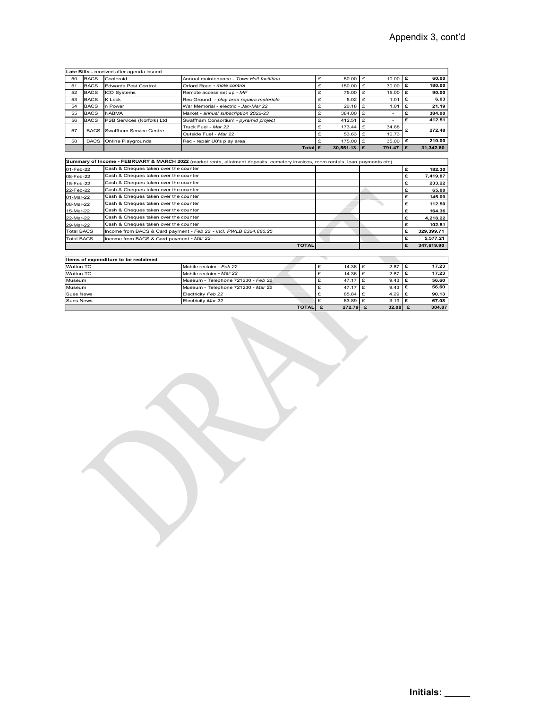|                        |             |                                                                                |                                                                                                                                  |                                       |               |                | Appendix 3, cont'd        |
|------------------------|-------------|--------------------------------------------------------------------------------|----------------------------------------------------------------------------------------------------------------------------------|---------------------------------------|---------------|----------------|---------------------------|
|                        |             |                                                                                |                                                                                                                                  |                                       |               |                |                           |
|                        |             |                                                                                |                                                                                                                                  |                                       |               |                |                           |
|                        |             |                                                                                |                                                                                                                                  |                                       |               |                |                           |
|                        |             |                                                                                |                                                                                                                                  |                                       |               |                |                           |
|                        |             | Late Bills - received after agenda issued                                      |                                                                                                                                  |                                       |               |                |                           |
| 50                     | <b>BACS</b> | Cooleraid                                                                      | Annual maintenance - Town Hall facilities                                                                                        | £                                     | 50.00         | 10.00<br>Ι£    | £<br>60.00                |
| 51                     | <b>BACS</b> | <b>Edwards Pest Control</b>                                                    | Orford Road - mole control                                                                                                       | £                                     | 150.00        | 30.00 $E$<br>£ | 180.00                    |
| 52                     | <b>BACS</b> | ICO Systems                                                                    | Remote access set up - MF                                                                                                        | £                                     | 75.00         | 15.00<br>£     | £<br>90.00                |
| 53                     | <b>BACS</b> | K Lock                                                                         | Rec Ground - play area repairs materials                                                                                         | £                                     | 5.02          | £<br>1.01      | £<br>6.03                 |
| 54                     | <b>BACS</b> | n Power                                                                        | War Memorial - electric - Jan-Mar 22                                                                                             | £                                     | 20.18         | 1.01<br>£      | £<br>21.19                |
| 55                     | <b>BACS</b> | <b>NABMA</b>                                                                   | Market - annual subscription 2022-23                                                                                             | £                                     | 384.00        | Ι£<br>$\sim$   | £<br>384.00               |
| 56                     | <b>BACS</b> | PSB Services (Norfolk) Ltd                                                     | Swaffham Consortium - pyramid project                                                                                            | £                                     | 412.51        | £<br>$\sim$    | £<br>412.51               |
| 57                     | <b>BACS</b> | Swaffham Service Centre                                                        | Truck Fuel - Mar 22                                                                                                              | £                                     | 173.44        | £<br>34.68     | £<br>272.48               |
|                        |             |                                                                                | Outside Fuel - Mar 22                                                                                                            | £                                     | 53.63         | £<br>10.73     |                           |
| 58                     |             | BACS Online Playgrounds                                                        | Rec - repair U8's play area                                                                                                      | £                                     | 175.00        | 35.00<br>£     | £<br>210.00               |
|                        |             |                                                                                |                                                                                                                                  | Total $\mathbf{\mathbf{\varepsilon}}$ | 30,551.13   £ | 791.47         | £<br>31,342.60            |
|                        |             |                                                                                |                                                                                                                                  |                                       |               |                |                           |
|                        |             |                                                                                | Summary of Income - FEBRUARY & MARCH 2022 (market rents, allotment deposits, cemetery invoices, room rentals, loan payments etc) |                                       |               |                |                           |
| 01-Feb-22              |             | Cash & Cheques taken over the counter                                          |                                                                                                                                  |                                       |               |                | £<br>182.30               |
| 08-Feb-22              |             | Cash & Cheques taken over the counter                                          |                                                                                                                                  |                                       |               |                | £<br>7,419.87             |
| 15-Feb-22              |             | Cash & Cheques taken over the counter                                          |                                                                                                                                  |                                       |               |                | £<br>233.22               |
| 22-Feb-22<br>01-Mar-22 |             | Cash & Cheques taken over the counter<br>Cash & Cheques taken over the counter |                                                                                                                                  |                                       |               |                | £<br>65.00<br>£<br>145.00 |

|                   |             |                                          |                                                                                                                                  | .             | $\sim$    | £   |            |
|-------------------|-------------|------------------------------------------|----------------------------------------------------------------------------------------------------------------------------------|---------------|-----------|-----|------------|
| 57                | <b>BACS</b> | Swaffham Service Centre                  | Outside Fuel - Mar 22                                                                                                            | $53.63$ £     | 10.73     |     | 272.48     |
| 58                | <b>BACS</b> | Online Playgrounds                       | Rec - repair U8's play area                                                                                                      | $175.00$ £    | 35.00 $E$ |     | 210.00     |
|                   |             |                                          | Total £                                                                                                                          | $30,551.13$ E | 791.47    | l £ | 31,342.60  |
|                   |             |                                          |                                                                                                                                  |               |           |     |            |
|                   |             |                                          | Summary of Income - FEBRUARY & MARCH 2022 (market rents, allotment deposits, cemetery invoices, room rentals, loan payments etc) |               |           |     |            |
| 01-Feb-22         |             | Cash & Cheques taken over the counter    |                                                                                                                                  |               |           |     | 182.30     |
| 08-Feb-22         |             | Cash & Cheques taken over the counter    |                                                                                                                                  |               |           |     | 7,419.87   |
| 15-Feb-22         |             | Cash & Cheques taken over the counter    |                                                                                                                                  |               |           |     | 233.22     |
| 22-Feb-22         |             | Cash & Cheques taken over the counter    |                                                                                                                                  |               |           |     | 65.00      |
| 01-Mar-22         |             | Cash & Cheques taken over the counter    |                                                                                                                                  |               |           |     | 145.00     |
| 08-Mar-22         |             | Cash & Cheques taken over the counter    |                                                                                                                                  |               |           |     | 112.50     |
| 15-Mar-22         |             | Cash & Cheques taken over the counter    |                                                                                                                                  |               |           |     | 164.36     |
| 22-Mar-22         |             | Cash & Cheques taken over the counter    |                                                                                                                                  |               |           |     | 4,218.22   |
| 29-Mar-22         |             | Cash & Cheques taken over the counter    |                                                                                                                                  |               |           |     | 102.51     |
| <b>Total BACS</b> |             |                                          | Income from BACS & Card payment - Feb 22 - incl. PWLB £324,886.25                                                                |               |           | £   | 329,399.71 |
| <b>Total BACS</b> |             | Income from BACS & Card payment - Mar 22 |                                                                                                                                  |               |           |     | 5,577.21   |
|                   |             |                                          | <b>TOTAL</b>                                                                                                                     |               |           | £   | 347,619.90 |
|                   |             |                                          |                                                                                                                                  |               |           |     |            |
|                   |             | Items of expenditure to be reclaimed     |                                                                                                                                  |               |           |     |            |

| Items of expenditure to be reclaimed |                                    |                |             |                  |        |
|--------------------------------------|------------------------------------|----------------|-------------|------------------|--------|
| Watton TC                            | Mobile reclaim - Feb 22            |                | $14.36$ $E$ | $2.87$   £       | 17.23  |
| Watton TC                            | Mobile reclaim - Mar 22            |                | $14.36$ $E$ | 2.87             | 17.23  |
| Museum                               | Museum - Telephone 721230 - Feb 22 |                | $47.17$ E   | $9.43 \text{ E}$ | 56.60  |
| Museum                               | Museum - Telephone 721230 - Mar 22 |                | $47.17$ E   | $9.43 \mid f$    | 56.60  |
| Sues News                            | Electricity Feb 22                 |                | $85.84$ $E$ | 4.29 $E$         | 90.13  |
| Sues News                            | Electricity Mar 22                 |                | $63.89$ $E$ | $3.19$ $E$       | 67.08  |
|                                      |                                    | <b>TOTAL</b> E | 272.79 $E$  | $32.08$ f        | 304.87 |